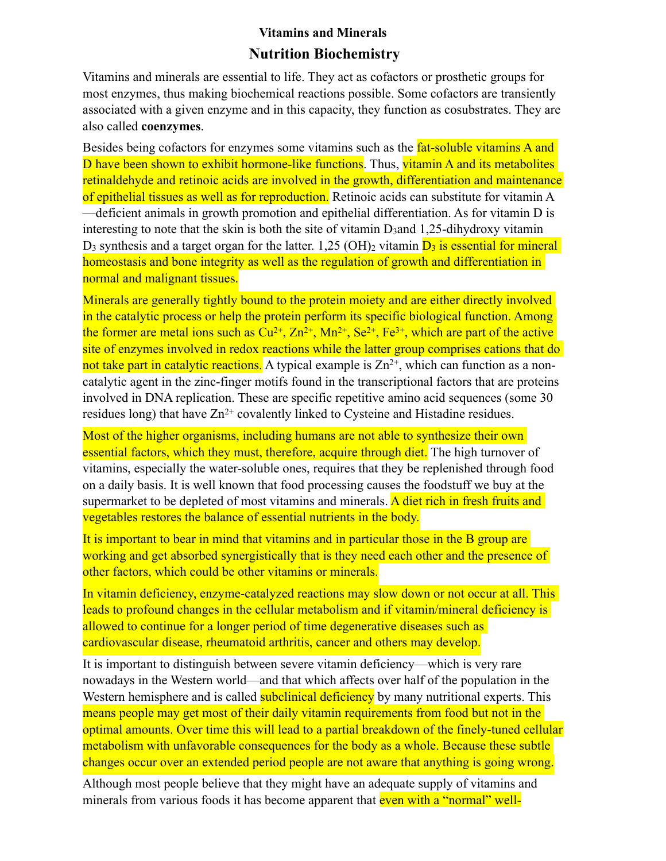# **Vitamins and Minerals Nutrition Biochemistry**

Vitamins and minerals are essential to life. They act as cofactors or prosthetic groups for most enzymes, thus making biochemical reactions possible. Some cofactors are transiently associated with a given enzyme and in this capacity, they function as cosubstrates. They are also called **coenzymes**.

Besides being cofactors for enzymes some vitamins such as the **fat-soluble vitamins A and** D have been shown to exhibit hormone-like functions. Thus, vitamin A and its metabolites retinaldehyde and retinoic acids are involved in the growth, differentiation and maintenance of epithelial tissues as well as for reproduction. Retinoic acids can substitute for vitamin A —deficient animals in growth promotion and epithelial differentiation. As for vitamin D is interesting to note that the skin is both the site of vitamin D<sub>3</sub>and 1,25-dihydroxy vitamin  $D_3$  synthesis and a target organ for the latter. 1,25 (OH)<sub>2</sub> vitamin  $D_3$  is essential for mineral homeostasis and bone integrity as well as the regulation of growth and differentiation in normal and malignant tissues.

Minerals are generally tightly bound to the protein moiety and are either directly involved in the catalytic process or help the protein perform its specific biological function. Among the former are metal ions such as  $Cu^{2+}$ ,  $Zn^{2+}$ ,  $Mn^{2+}$ ,  $Se^{2+}$ ,  $Fe^{3+}$ , which are part of the active site of enzymes involved in redox reactions while the latter group comprises cations that do not take part in catalytic reactions. A typical example is  $Zn^{2+}$ , which can function as a noncatalytic agent in the zinc-finger motifs found in the transcriptional factors that are proteins involved in DNA replication. These are specific repetitive amino acid sequences (some 30 residues long) that have  $Zn^{2+}$  covalently linked to Cysteine and Histadine residues.

Most of the higher organisms, including humans are not able to synthesize their own essential factors, which they must, therefore, acquire through diet. The high turnover of vitamins, especially the water-soluble ones, requires that they be replenished through food on a daily basis. It is well known that food processing causes the foodstuff we buy at the supermarket to be depleted of most vitamins and minerals. A diet rich in fresh fruits and vegetables restores the balance of essential nutrients in the body.

It is important to bear in mind that vitamins and in particular those in the B group are working and get absorbed synergistically that is they need each other and the presence of other factors, which could be other vitamins or minerals.

In vitamin deficiency, enzyme-catalyzed reactions may slow down or not occur at all. This leads to profound changes in the cellular metabolism and if vitamin/mineral deficiency is allowed to continue for a longer period of time degenerative diseases such as cardiovascular disease, rheumatoid [arthritis,](http://www.biological-oxidation.com/VitMin.htm) cancer and others may develop.

It is important to distinguish between severe vitamin deficiency—which is very rare nowadays in the Western world—and that which affects over half of the population in the Western hemisphere and is called **subclinical deficiency** by many nutritional experts. This means people may get most of their daily vitamin requirements from food but not in the optimal amounts. Over time this will lead to a partial breakdown of the finely-tuned cellular metabolism with unfavorable consequences for the body as a whole. Because these subtle changes occur over an extended period people are not aware that anything is going wrong.

Although most people believe that they might have an adequate supply of vitamins and minerals from various foods it has become apparent that even with a "normal" well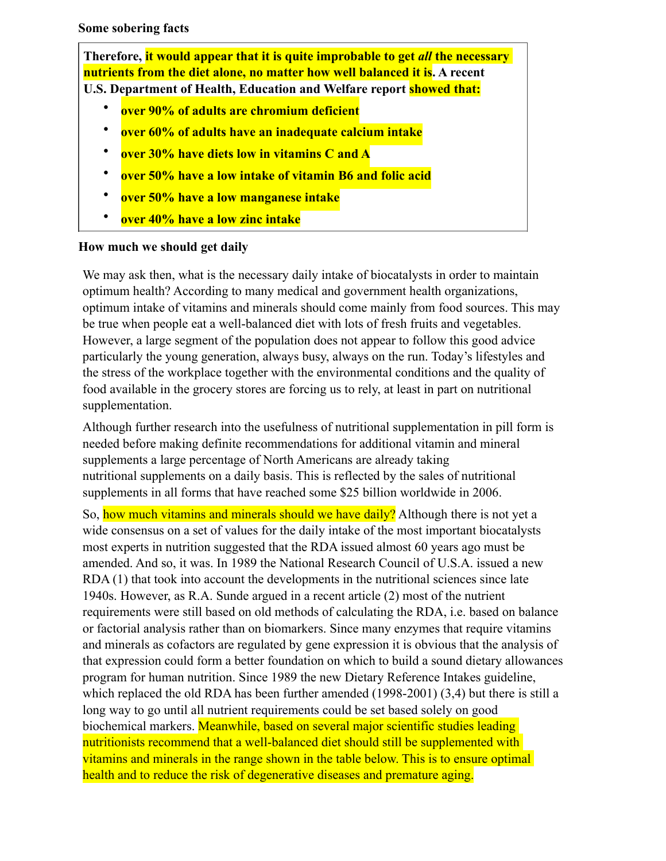**Some sobering facts**

**Therefore, it would appear that it is quite improbable to get** *all* **the necessary nutrients from the diet alone, no matter how well balanced it is. A recent U.S. [Department](http://www.biological-oxidation.com/VitMin.htm) of Health, Education and Welfare report showed that:**

- **over 90% of adults are chromium deficient**
- **over 60% of adults have an inadequate calcium intake**
- **over 30% have diets low in vitamins C and A**
- **over 50% have a low intake of vitamin B6 and folic acid**
- **over 50% have a low manganese intake**
- **over 40% have a low zinc intake**

#### **How much we should get daily**

We may ask then, what is the necessary daily intake of biocatalysts in order to maintain optimum health? According to many medical and government health organizations, optimum intake of vitamins and minerals should come mainly from food sources. This may be true when people eat a well-balanced diet with lots of fresh fruits and vegetables. However, a large segment of the population does not appear to follow this good advice particularly the young generation, always busy, always on the run. Today's lifestyles and the stress of the workplace together with the environmental conditions and the quality of food available in the grocery stores are forcing us to rely, at least in part on nutritional supplementation.

Although further research into the usefulness of nutritional supplementation in pill form is needed before making definite recommendations for additional vitamin and mineral supplements a large percentage of North Americans are already taking [nutritional supplements on a daily basis. This is reflected by the sales of nutritional](http://www.biological-oxidation.com/VitMin.htm)  supplements in all forms that have reached some \$25 billion worldwide in 2006.

So, how much vitamins and minerals should we have daily? Although there is not yet a wide consensus on a set of values for the daily intake of the most important biocatalysts most experts in nutrition suggested that the RDA issued almost 60 years ago must be amended. And so, it was. In 1989 the National Research Council of U.S.A. issued a new RDA (1) that took into [account](http://www.biological-oxidation.com/VitMin.htm) the developments in the nutritional sciences since late 1940s. However, as R.A. Sunde argued in a recent article (2) most of the nutrient requirements were still based on old methods of calculating the RDA, i.e. based on balance or factorial analysis rather than on biomarkers. Since many enzymes that require vitamins and minerals as cofactors are regulated by gene expression it is obvious that the analysis of that expression could form a better foundation on which to build a sound dietary allowances program for human nutrition. Since 1989 the new Dietary Reference Intakes guideline, which replaced the old RDA has been further amended (1998-2001) (3,4) but there is still a long way to go until all nutrient requirements could be set based solely on good biochemical markers. Meanwhile, based on several major scientific studies leading nutritionists recommend that a well-balanced diet should still be supplemented with vitamins and minerals in the range shown in the table below. This is to ensure optimal health and to reduce the risk of degenerative diseases and premature aging.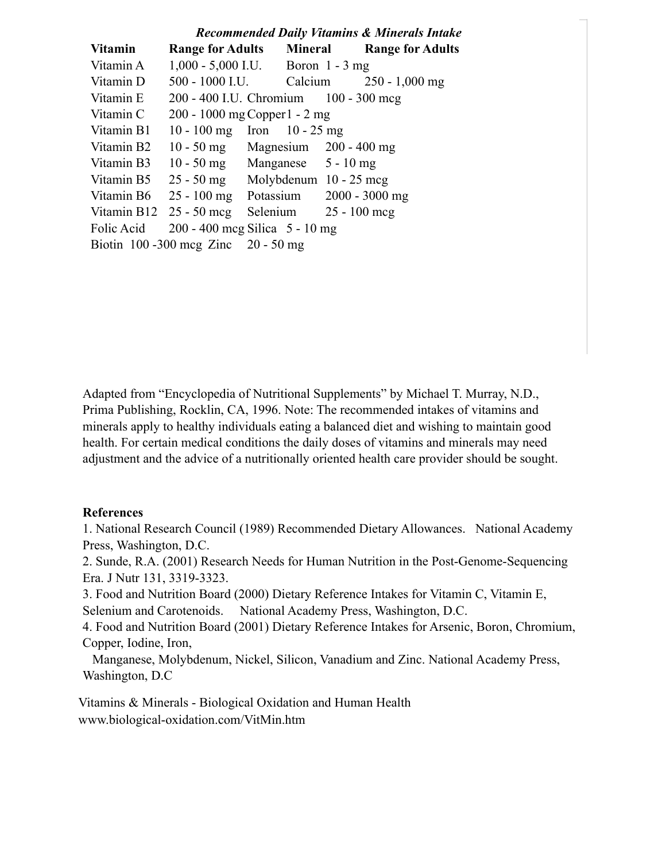|                                          | <b>Recommended Daily Vitamins &amp; Minerals Intake</b> |                                     |  |                                      |                  |  |
|------------------------------------------|---------------------------------------------------------|-------------------------------------|--|--------------------------------------|------------------|--|
| <b>Vitamin</b>                           | <b>Range for Adults</b> Mineral Range for Adults        |                                     |  |                                      |                  |  |
| Vitamin A                                | $1,000 - 5,000$ I.U. Boron 1 - 3 mg                     |                                     |  |                                      |                  |  |
| Vitamin D                                | 500 - 1000 I.U. Calcium                                 |                                     |  |                                      | $250 - 1,000$ mg |  |
| Vitamin E                                | 200 - 400 I.U. Chromium 100 - 300 mcg                   |                                     |  |                                      |                  |  |
| Vitamin C                                | 200 - 1000 mg Copper 1 - 2 mg                           |                                     |  |                                      |                  |  |
| Vitamin B1                               | 10 - 100 mg Iron 10 - 25 mg                             |                                     |  |                                      |                  |  |
| Vitamin B <sub>2</sub>                   |                                                         | 10 - 50 mg Magnesium $200 - 400$ mg |  |                                      |                  |  |
| Vitamin B3                               |                                                         | 10 - 50 mg Manganese $5 - 10$ mg    |  |                                      |                  |  |
| Vitamin B5                               |                                                         | $25 - 50$ mg Molybdenum 10 - 25 mcg |  |                                      |                  |  |
| Vitamin B6                               |                                                         |                                     |  | 25 - 100 mg Potassium 2000 - 3000 mg |                  |  |
|                                          | Vitamin B12 $25 - 50$ mcg                               | Selenium $25 - 100$ mcg             |  |                                      |                  |  |
| Folic Acid                               | $200 - 400$ mcg Silica 5 - 10 mg                        |                                     |  |                                      |                  |  |
| Biotin $100 - 300$ mcg Zinc $20 - 50$ mg |                                                         |                                     |  |                                      |                  |  |

Adapted from "Encyclopedia of Nutritional Supplements" by Michael T. Murray, N.D., Prima Publishing, Rocklin, CA, 1996. Note: The recommended intakes of vitamins and minerals apply to healthy individuals eating a balanced diet and wishing to maintain good health. For certain medical conditions the daily doses of vitamins and minerals may need adjustment and the advice of a nutritionally oriented health care provider should be sought.

#### **References**

1. National Research Council (1989) Recommended Dietary Allowances. National Academy Press, Washington, D.C.

2. Sunde, R.A. (2001) Research Needs for Human Nutrition in the Post-Genome-Sequencing Era. J Nutr 131, 3319-3323.

3. Food and Nutrition Board (2000) Dietary Reference Intakes for Vitamin C, Vitamin E, Selenium and Carotenoids. National Academy Press, Washington, D.C.

4. Food and Nutrition Board (2001) Dietary Reference Intakes for Arsenic, Boron, Chromium, Copper, Iodine, Iron,

 Manganese, Molybdenum, Nickel, Silicon, Vanadium and Zinc. National Academy Press, Washington, D.C

[Vitamins & Minerals - Biological Oxidation and Human Health](http://www.biological-oxidation.com/VitMin.htm)  www.biological-oxidation.com/VitMin.htm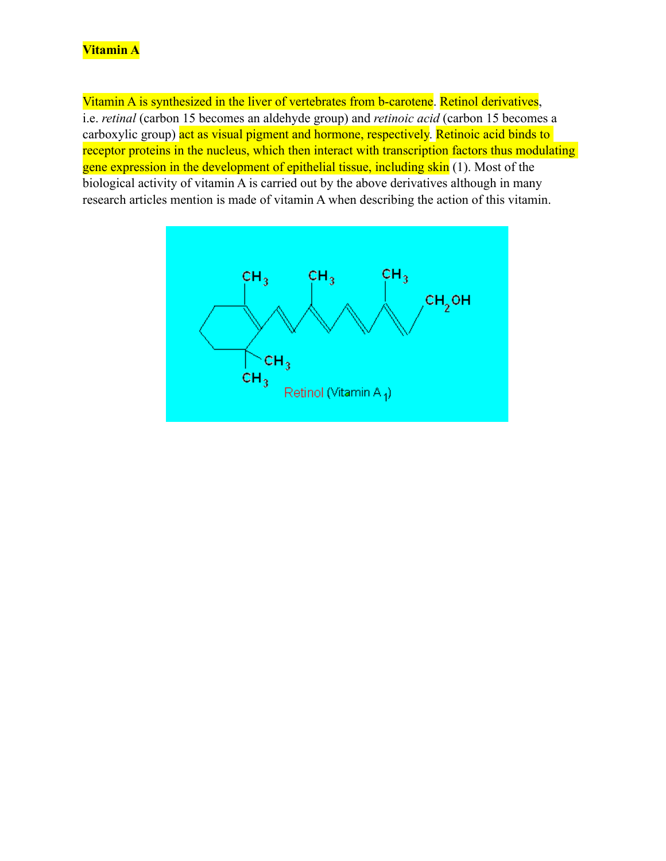# **Vitamin A**

Vitamin A is synthesized in the liver of vertebrates from b-carotene. Retinol derivatives, i.e. *retinal* (carbon 15 becomes an aldehyde group) and *retinoic acid* (carbon 15 becomes a carboxylic group) act as visual pigment and hormone, respectively. Retinoic acid binds to receptor proteins in the nucleus, which then interact with transcription factors thus modulating gene expression in the development of epithelial tissue, including skin (1). Most of the biological activity of vitamin A is carried out by the above derivatives although in many research articles mention is made of vitamin A when describing the action of this vitamin.

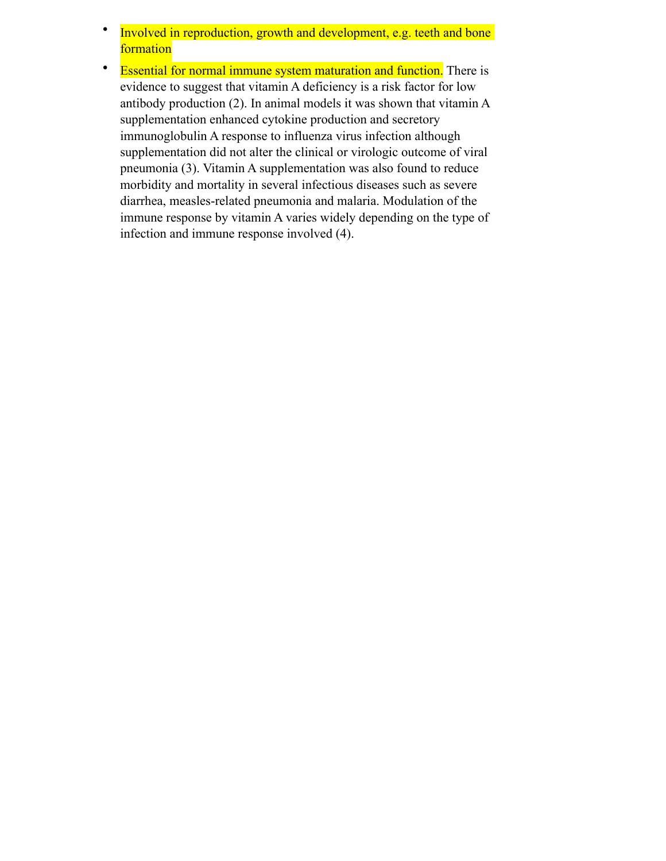- Involved in reproduction, growth and development, e.g. teeth and bone formation
- Essential for normal [immune system](http://www.biological-oxidation.com/VitMin/VitaminA.htm) maturation and function. There is evidence to suggest that vitamin A deficiency is a risk factor for low antibody production (2). In animal models it was shown that vitamin A supplementation enhanced cytokine production and secretory immunoglobulin A response to influenza virus infection although supplementation did not alter the clinical or virologic outcome of viral pneumonia (3). Vitamin A supplementation was also found to reduce morbidity and mortality in several infectious diseases such as severe diarrhea, measles-related [pneumonia](http://www.biological-oxidation.com/VitMin/VitaminA.htm) and malaria. Modulation of the immune response by vitamin A varies widely depending on the type of infection and immune response involved (4).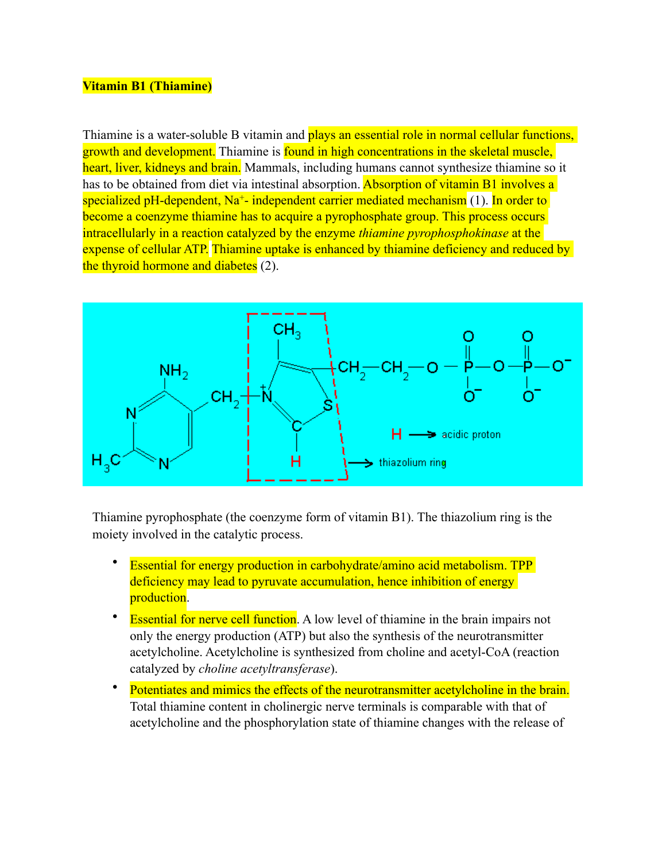#### **Vitamin B1 (Thiamine)**

Thiamine is a water-soluble B vitamin and plays an essential role in normal cellular functions, growth and development. Thiamine is found in high concentrations in the skeletal muscle, heart, liver, kidneys and brain. Mammals, including humans cannot synthesize thiamine so it has to be obtained from diet via intestinal absorption. Absorption of vitamin B1 involves a specialized pH-dependent,  $Na^+$ - independent carrier mediated mechanism [\(1](http://ajpcell.physiology.org/cgi/content/full/281/3/C786?ijkey=ac390812d6f7d13655f69e5a97700483fcc1ed0a)). In order to become a coenzyme thiamine has to acquire a pyrophosphate group. This process occurs intracellularly in a reaction catalyzed by the enzyme *thiamine pyrophosphokinase* at the expense of cellular ATP. Thiamine uptake is enhanced by thiamine [deficiency](http://www.biological-oxidation.com/VitMin/VitB1.htm) and reduced by the thyroid hormone and [diabetes](http://www.biological-oxidation.com/VitMin/VitB1.htm) (2).



Thiamine pyrophosphate (the coenzyme form of vitamin B1). The thiazolium ring is the moiety involved in the catalytic process.

- Essential for energy production in carbohydrate/amino acid metabolism. TPP deficiency may lead to pyruvate accumulation, hence inhibition of energy production.
- **Essential for nerve cell function.** A low level of thiamine in the brain impairs not only the energy production (ATP) but also the synthesis of the neurotransmitter acetylcholine. Acetylcholine is synthesized from [choline](http://www.biological-oxidation.com/VitMin/VitB1.htm) and acetyl-CoA (reaction catalyzed by *choline acetyltransferase*).
- Potentiates and mimics the effects of the neurotransmitter acetylcholine in the brain. Total thiamine content in cholinergic nerve terminals is comparable with that of acetylcholine and the phosphorylation state of thiamine changes with the release of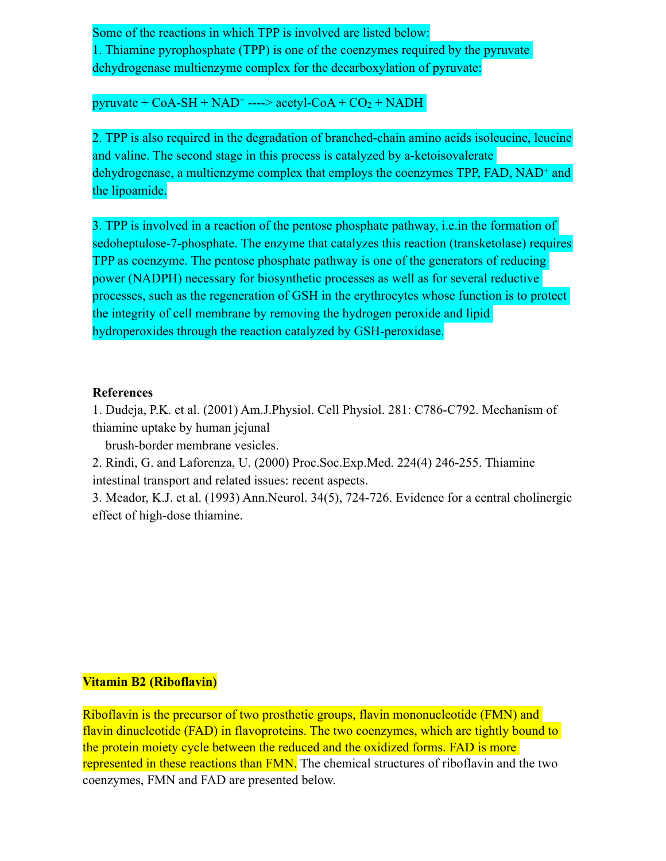Some of the reactions in which TPP is involved are listed below: 1. Thiamine pyrophosphate (TPP) is one of the coenzymes required by the pyruvate dehydrogenase multienzyme complex for the decarboxylation of pyruvate:

pyruvate +  $CoA-SH + NAD^+$  ----> acetyl- $CoA + CO<sub>2</sub> + NADH$ 

2. TPP is also required in the degradation of branched-chain amino acids isoleucine, leucine and valine. The second stage in this process is catalyzed by a-ketoisovalerate dehydrogenase, a multienzyme complex that employs the coenzymes TPP, FAD, NAD<sup>+</sup> and the lipoamide.

3. TPP is involved in a reaction of the pentose phosphate pathway, i.e.in the formation of sedoheptulose-7-phosphate. The enzyme that catalyzes this reaction (transketolase) requires TPP as coenzyme. The pentose phosphate pathway is one of the generators of reducing power (NADPH) necessary for biosynthetic processes as well as for several reductive processes, such as the regeneration of GSH in the erythrocytes whose function is to protect the integrity of cell membrane by removing the hydrogen peroxide and lipid hydroperoxides through the reaction catalyzed by GSH-peroxidase.

#### **References**

1. Dudeja, P.K. et al. (2001) Am.J.Physiol. Cell Physiol. 281: C786-C792. Mechanism of thiamine uptake by human jejunal

brush-border membrane vesicles.

2. Rindi, G. and Laforenza, U. (2000) Proc.Soc.Exp.Med. 224(4) 246-255. Thiamine intestinal transport and related issues: recent aspects.

3. Meador, K.J. et al. (1993) Ann.Neurol. 34(5), 724-726. Evidence for a central cholinergic effect of high-dose thiamine.

### **Vitamin B2 (Riboflavin)**

Riboflavin is the precursor of two prosthetic groups, flavin mononucleotide (FMN) and flavin dinucleotide (FAD) in flavoproteins. The two coenzymes, which are tightly bound to the protein moiety cycle between the reduced and the oxidized forms. FAD is more represented in these reactions than FMN. The chemical structures of riboflavin and the two coenzymes, FMN and FAD are presented below.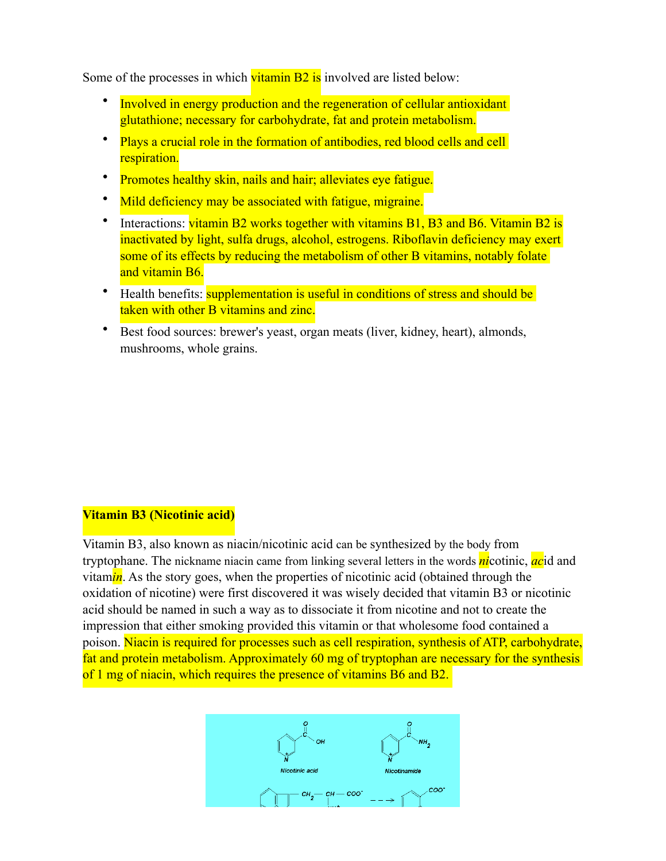Some of the processes in which **vitamin B2** is involved are listed below:

- Involved in energy production and the regeneration of cellular antioxidant glutathione; necessary for carbohydrate, fat and protein [metabolism](http://www.biological-oxidation.com/VitMin/VitB2.htm).
- Plays a crucial role in the formation of antibodies, red blood cells and cell respiration.
- Promotes healthy skin, nails and hair; alleviates eye fatigue.
- Mild [deficiency](http://www.biological-oxidation.com/VitMin/VitB2.htm) may be associated with fatigue, migraine.
- Interactions: vitamin B2 works together with vitamins B1, B3 and B6. Vitamin B2 is inactivated by light, sulfa drugs, alcohol, estrogens. Riboflavin deficiency may exert some of its effects by reducing the metabolism of other B vitamins, notably folate and vitamin B6.
- Health benefits: **supplementation is useful in conditions of stress and should be** taken with other B vitamins and zinc.
- Best food sources: brewer's [yeast,](http://www.biological-oxidation.com/VitMin/VitB2.htm) organ [meats](http://www.biological-oxidation.com/VitMin/VitB2.htm) (liver, kidney, heart), almonds, mushrooms, whole grains.

#### **Vitamin B3 (Nicotinic acid)**

Vitamin B3, also known as niacin/nicotinic acid can be synthesized by the body from tryptophane. The nickname niacin came from linking several letters in the words *ni*cotinic, *ac*id and vitam*in*. As the story goes, when the properties of nicotinic acid (obtained through the oxidation of nicotine) were first discovered it was wisely decided that vitamin B3 or nicotinic acid should be named in such a way as to dissociate it from nicotine and not to create the impression that either smoking provided this vitamin or that wholesome food contained a poison. Niacin is required for processes such as cell respiration, synthesis of ATP, carbohydrate, fat and protein metabolism. Approximately 60 mg of tryptophan are necessary for the synthesis of 1 mg of niacin, which requires the presence of vitamins B6 and B2.

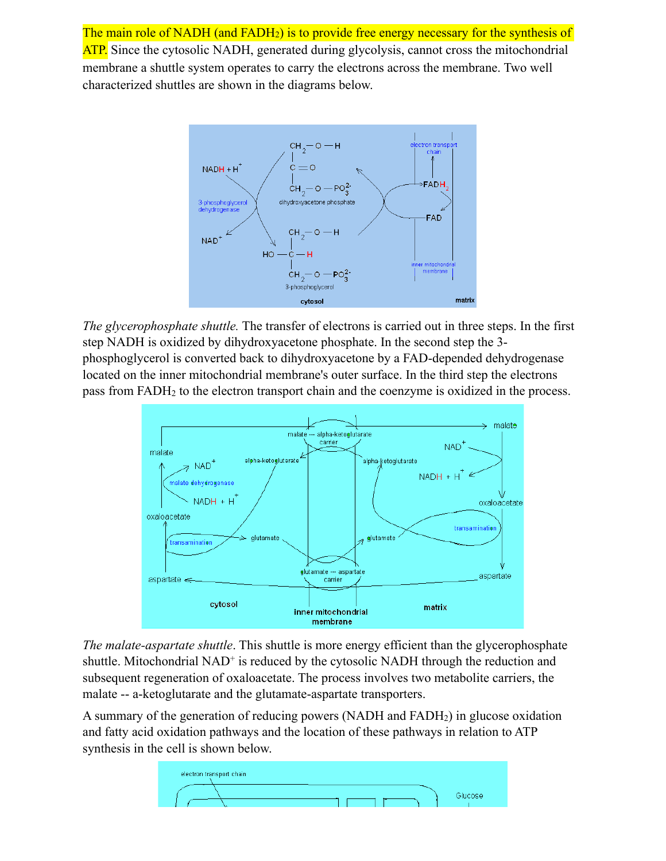The main role of NADH (and FADH<sub>2</sub>) is to provide free energy necessary for the synthesis of ATP. Since the cytosolic NADH, generated during glycolysis, cannot cross the mitochondrial membrane a shuttle system operates to carry the electrons across the membrane. Two well characterized shuttles are shown in the diagrams below.



*The glycerophosphate shuttle.* The transfer of electrons is carried out in three steps. In the first step NADH is oxidized by dihydroxyacetone phosphate. In the second step the 3 phosphoglycerol is converted back to dihydroxyacetone by a FAD-depended dehydrogenase located on the inner mitochondrial membrane's outer surface. In the third step the electrons pass from FADH2 to the electron transport chain and the coenzyme is oxidized in the process.



*The malate-aspartate shuttle*. This shuttle is more energy efficient than the glycerophosphate shuttle. Mitochondrial  $NAD<sup>+</sup>$  is reduced by the cytosolic NADH through the reduction and subsequent regeneration of oxaloacetate. The process involves two metabolite carriers, the malate -- a-ketoglutarate and the glutamate-aspartate transporters.

A summary of the generation of reducing powers (NADH and FADH2) in glucose oxidation and fatty acid oxidation pathways and the location of these pathways in relation to ATP synthesis in the cell is shown below.

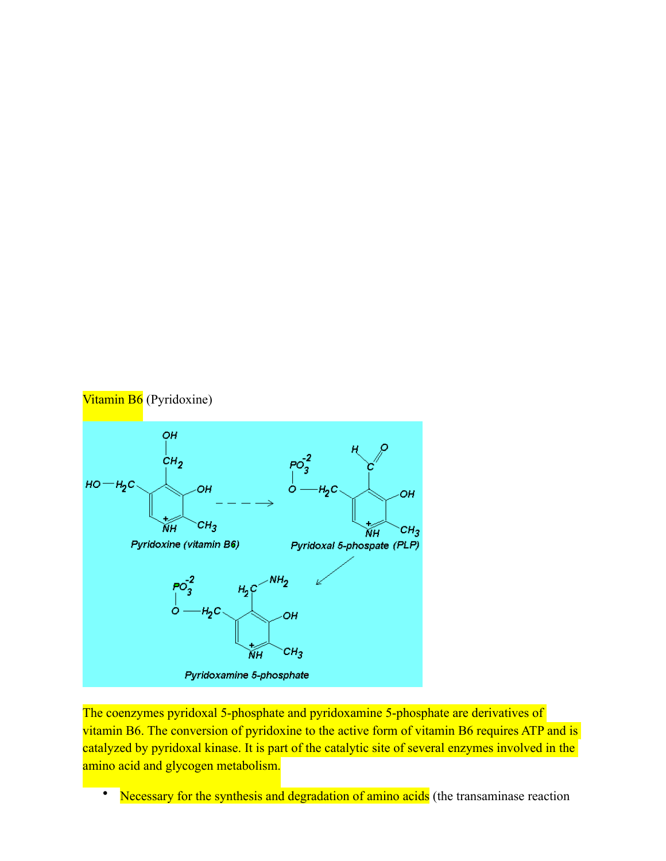

The coenzymes pyridoxal 5-phosphate and pyridoxamine 5-phosphate are derivatives of vitamin B6. The conversion of pyridoxine to the active form of vitamin B6 requires ATP and is catalyzed by pyridoxal kinase. It is part of the catalytic site of several enzymes involved in the amino acid and glycogen metabolism.

• Necessary for the synthesis and degradation of amino acids (the transaminase reaction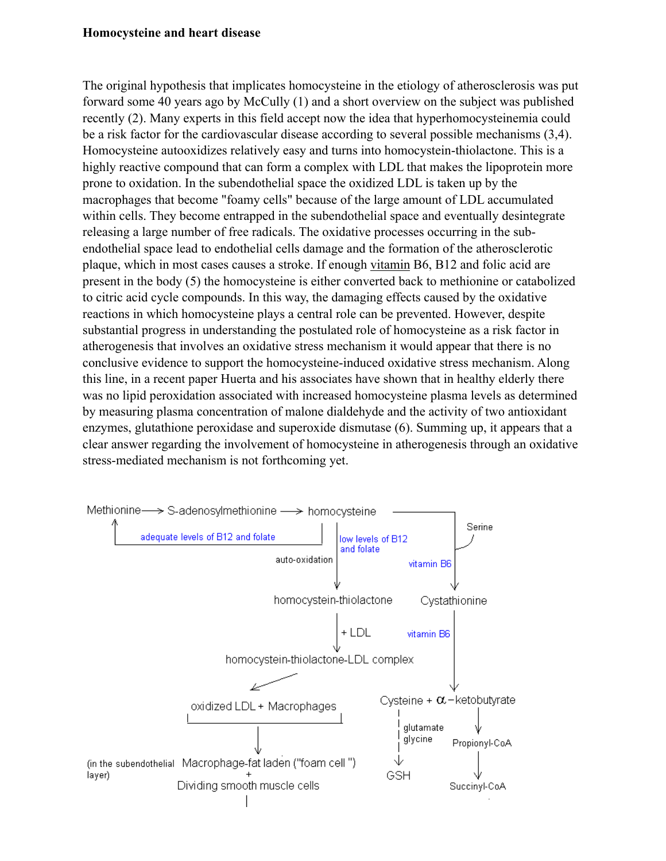#### **Homocysteine and [heart disease](http://www.biological-oxidation.com/VitMin/Homocyst.htm)**

The original hypothesis that implicates homocysteine in the etiology of atherosclerosis was put forward some 40 years ago by McCully (1) and a short overview on the subject was published recently (2). Many experts in this field accept now the idea that hyperhomocysteinemia could be a risk factor for the cardiovascular disease according to several possible mechanisms (3,4). Homocysteine autooxidizes relatively easy and turns into homocystein-thiolactone. This is a highly reactive compound that can form a complex with LDL that makes the lipoprotein more prone to oxidation. In the subendothelial space the oxidized LDL is taken up by the macrophages that become "foamy cells" because of the large amount of LDL accumulated within cells. They become entrapped in the subendothelial space and eventually desintegrate releasing a large number of free radicals. The oxidative processes occurring in the subendothelial space lead to endothelial cells damage and the formation of the atherosclerotic plaque, which in most cases causes a stroke. If enough [vitamin](http://www.biological-oxidation.com/VitMin/Homocyst.htm) B6, B12 and folic acid are present in the body (5) the homocysteine is either converted back to methionine or catabolized to citric acid cycle compounds. In this way, the damaging effects caused by the oxidative reactions in which homocysteine plays a central role can be prevented. However, despite substantial progress in understanding the postulated role of homocysteine as a risk factor in atherogenesis that involves an oxidative stress mechanism it would appear that there is no conclusive evidence to support the homocysteine-induced oxidative stress mechanism. Along this line, in a recent paper Huerta and his associates have shown that in healthy elderly there was no lipid peroxidation associated with increased homocysteine plasma levels as determined by measuring plasma concentration of malone dialdehyde and the activity of two antioxidant enzymes, glutathione peroxidase and superoxide dismutase (6). Summing up, it appears that a clear answer regarding the involvement of homocysteine in atherogenesis through an oxidative stress-mediated mechanism is not forthcoming yet.

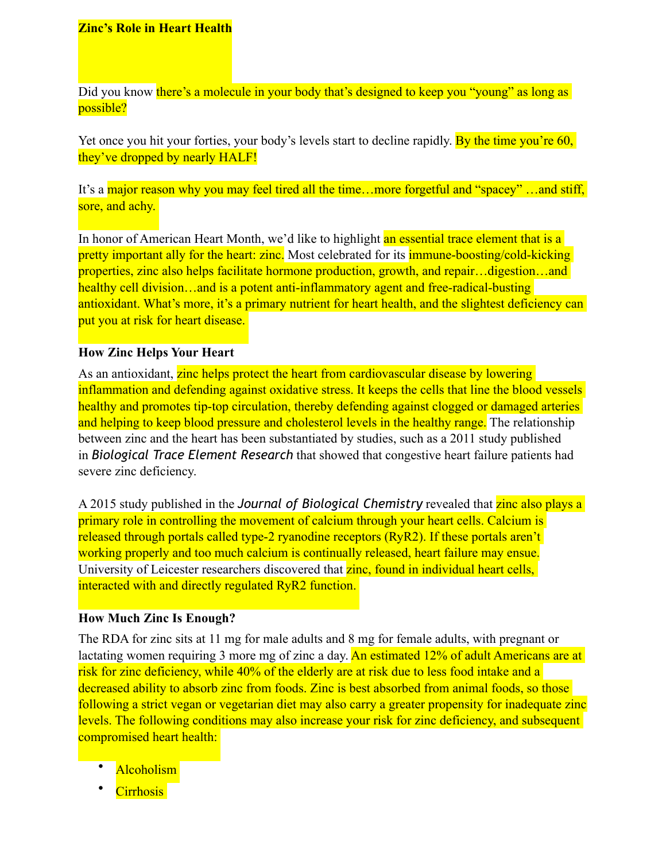#### **Zinc's Role in Heart Health**

Did you know there's a molecule in your body that's designed to keep you "young" as long as possible?

Yet once you hit your forties, your body's levels start to decline rapidly. By the time you're 60, they've dropped by nearly HALF!

It's a major reason why you may feel tired all the time...more forgetful and "spacey" …and stiff, sore, and achy.

In honor of American Heart Month, we'd like to highlight an essential trace element that is a pretty important ally for the heart: zinc. Most celebrated for its **immune-boosting/cold-kicking** properties, zinc also helps facilitate hormone production, growth, and repair…digestion…and healthy cell division...and is a potent anti-inflammatory agent and free-radical-busting antioxidant. What's more, it's a primary nutrient for heart health, and the slightest deficiency can put you at risk for heart disease.

#### **How Zinc Helps Your Heart**

As an antioxidant, zinc helps protect the heart from cardiovascular disease by lowering inflammation and defending against oxidative stress. It keeps the cells that line the blood vessels healthy and promotes tip-top circulation, thereby defending against clogged or damaged arteries and helping to keep blood pressure and cholesterol levels in the healthy range. The relationship between zinc and the heart has been substantiated by studies, such as a 2011 study published in *[Biological Trace Element Research](https://www.ncbi.nlm.nih.gov/pubmed/21258970)* that showed that congestive heart failure patients had severe zinc deficiency.

A 2015 study published in the *Journal of Biological Chemistry* revealed that zinc also plays a primary role in controlling the movement of calcium through your heart cells. Calcium is released through portals called type-2 ryanodine receptors (RyR2). If these portals aren't working properly and too much calcium is continually released, heart failure may ensue. University of Leicester researchers discovered that zinc, found in individual heart cells, interacted with and directly regulated RyR2 function.

#### **How Much Zinc Is Enough?**

The RDA for zinc sits at 11 mg for male adults and 8 mg for female adults, with pregnant or lactating women requiring 3 more mg of zinc a day. An estimated 12% of adult Americans are at risk for zinc deficiency, while 40% of the elderly are at risk due to less food intake and a decreased ability to absorb zinc from foods. Zinc is best absorbed from animal foods, so those following a strict vegan or vegetarian diet may also carry a greater propensity for inadequate zinc levels. The following conditions may also increase your risk for zinc deficiency, and subsequent compromised heart health:

- Alcoholism
- Cirrhosis<sup>1</sup>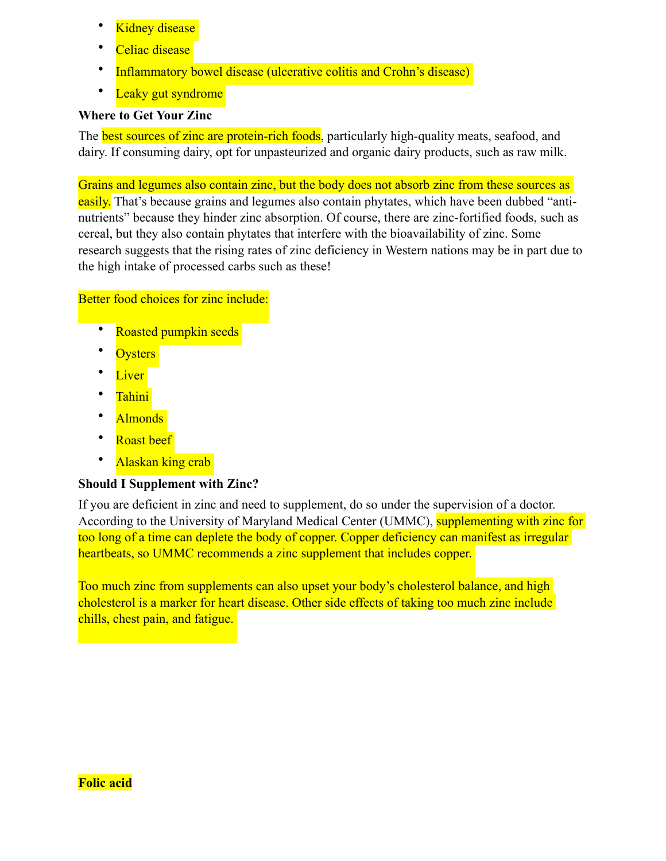- **Kidney disease**
- Celiac disease
- Inflammatory bowel disease (ulcerative colitis and Crohn's disease)
- Leaky gut syndrome

# **Where to Get Your Zinc**

The **best sources of zinc are protein-rich foods**, particularly high-quality meats, seafood, and dairy. If consuming dairy, opt for unpasteurized and organic dairy products, such as raw milk.

Grains and legumes also contain zinc, but the body does not absorb zinc from these sources as easily. That's because grains and legumes also contain phytates, which have been dubbed "antinutrients" because they hinder zinc absorption. Of course, there are zinc-fortified foods, such as cereal, but they also contain phytates that interfere with the bioavailability of zinc. Some research suggests that the rising rates of zinc deficiency in Western nations may be in part due to the high intake of processed carbs such as these!

# Better food choices for zinc include:

- Roasted pumpkin seeds
- **Oysters**
- **Liver**
- Tahini
- Almonds
- Roast beef
- Alaskan king crab

# **Should I Supplement with Zinc?**

If you are deficient in zinc and need to supplement, do so under the supervision of a doctor. According to the [University of Maryland Medical Center](http://umm.edu/health/medical/altmed/supplement/zinc) (UMMC), supplementing with zinc for too long of a time can deplete the body of copper. Copper deficiency can manifest as irregular heartbeats, so UMMC recommends a zinc supplement that includes copper.

Too much zinc from supplements can also upset your body's cholesterol balance, and high cholesterol is a marker for heart disease. Other side effects of taking too much zinc include chills, chest pain, and fatigue.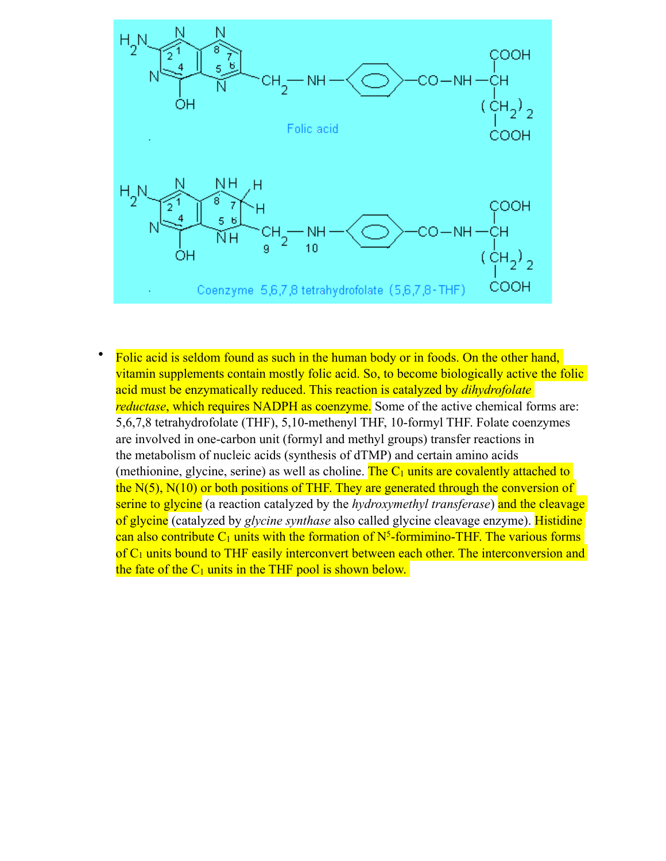

Folic acid is seldom found as such in the human body or in foods. On the other hand, vitamin [supplements](http://www.biological-oxidation.com/VitMin/Folacin.htm) contain mostly folic acid. So, to become biologically active the folic acid must be enzymatically reduced. This reaction is catalyzed by *dihydrofolate reductase*, which requires NADPH as coenzyme. Some of the active chemical forms are: 5,6,7,8 tetrahydrofolate (THF), 5,10-methenyl THF, 10-formyl THF. Folate coenzymes are involved in one-carbon unit (formyl and methyl groups) transfer reactions in the [metabolism](http://www.biological-oxidation.com/VitMin/Folacin.htm) of nucleic acids (synthesis of dTMP) and certain amino acids (methionine, glycine, serine) as well as choline. The  $C_1$  units are covalently attached to the N(5), N(10) or both positions of THF. They are generated through the conversion of serine to glycine (a reaction catalyzed by the *hydroxymethyl transferase*) and the cleavage of glycine (catalyzed by *glycine synthase* also called glycine cleavage enzyme). Histidine can also contribute  $C_1$  units with the formation of  $N^5$ -formimino-THF. The various forms of  $C_1$  units bound to THF easily interconvert between each other. The interconversion and the fate of the  $C_1$  units in the THF pool is shown below.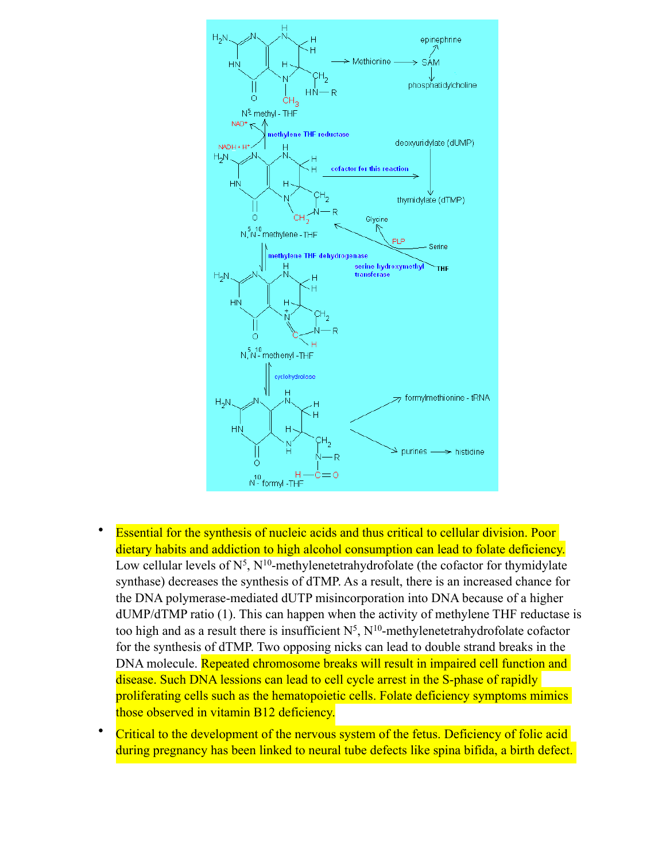

- Essential for the synthesis of nucleic acids and thus critical to cellular division. Poor dietary habits and addiction to high alcohol consumption can lead to folate deficiency. Low cellular levels of  $N^5$ ,  $N^{10}$ -methylenetetrahydrofolate (the cofactor for thymidylate synthase) decreases the synthesis of dTMP. As a result, there is an increased chance for the DNA polymerase-mediated dUTP misincorporation into DNA because of a higher dUMP/dTMP ratio (1). This can happen when the activity of methylene THF reductase is too high and as a result there is insufficient  $N^5$ ,  $N^{10}$ -methylenetetrahydrofolate cofactor for the synthesis of dTMP. Two opposing nicks can lead to double strand breaks in the DNA molecule. Repeated chromosome breaks will result in impaired cell function and disease. Such DNA lessions can lead to cell cycle arrest in the S-phase of rapidly proliferating cells such as the hematopoietic cells. Folate deficiency symptoms mimics those observed in vitamin B12 deficiency.
- Critical to the development of the nervous system of the fetus. Deficiency of folic acid during pregnancy has been linked to neural tube defects like spina bifida, a birth defect.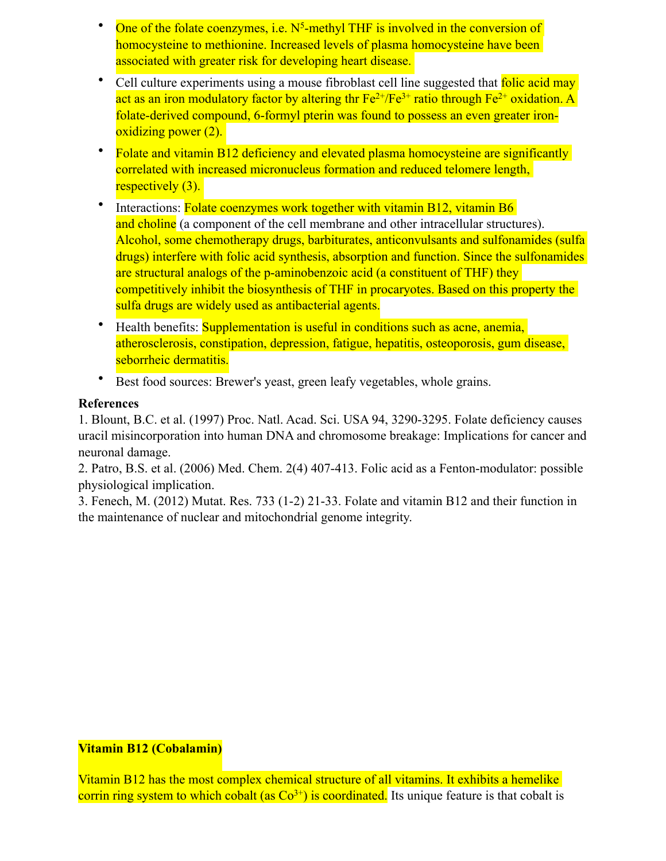- One of the folate coenzymes, i.e.  $N^5$ -methyl THF is involved in the conversion of homocysteine to methionine. Increased levels of plasma homocysteine have been associated with greater risk for developing [heart disease](http://www.biological-oxidation.com/VitMin/Folacin.htm).
- Cell culture experiments using a mouse fibroblast cell line suggested that folic acid may act as an iron modulatory factor by altering thr  $Fe^{2+}/Fe^{3+}$  ratio through  $Fe^{2+}$  oxidation. A folate-derived compound, 6-formyl pterin was found to possess an even greater ironoxidizing power (2).
- Folate and vitamin B12 deficiency and elevated plasma homocysteine are significantly correlated with increased micronucleus formation and reduced telomere length, respectively (3).
- Interactions: Folate coenzymes work together with vitamin B12, vitamin B6 and [choline](http://www.biological-oxidation.com/VitMin/Folacin.htm) (a component of the cell membrane and other intracellular structures). Alcohol, some chemotherapy drugs, barbiturates, anticonvulsants and sulfonamides (sulfa drugs) interfere with folic acid synthesis, absorption and function. Since the sulfonamides are structural analogs of the p-aminobenzoic acid (a constituent of THF) they competitively inhibit the biosynthesis of THF in procaryotes. Based on this property the sulfa drugs are widely used as antibacterial agents.
- Health benefits: **Supplementation is useful in conditions such as acne, anemia,** atherosclerosis, [constipation](http://www.biological-oxidation.com/VitMin/Folacin.htm), depression, fatigue, hepatitis, osteoporosis, gum disease, seborrheic dermatitis.
- Best food sources: Brewer's yeast, green leafy vegetables, whole grains.

### **References**

1. Blount, B.C. et al. (1997) Proc. Natl. Acad. Sci. USA 94, 3290-3295. Folate deficiency causes uracil misincorporation into human DNA and chromosome breakage: Implications for cancer and neuronal damage.

2. Patro, B.S. et al. (2006) Med. Chem. 2(4) 407-413. Folic acid as a Fenton-modulator: possible physiological implication.

3. Fenech, M. (2012) Mutat. Res. 733 (1-2) 21-33. Folate and vitamin B12 and their function in the maintenance of nuclear and mitochondrial genome integrity.

### **Vitamin B12 (Cobalamin)**

Vitamin B12 has the most complex chemical structure of all vitamins. It exhibits a hemelike corrin ring system to which cobalt (as  $Co^{3+}$ ) is coordinated. Its unique feature is that cobalt is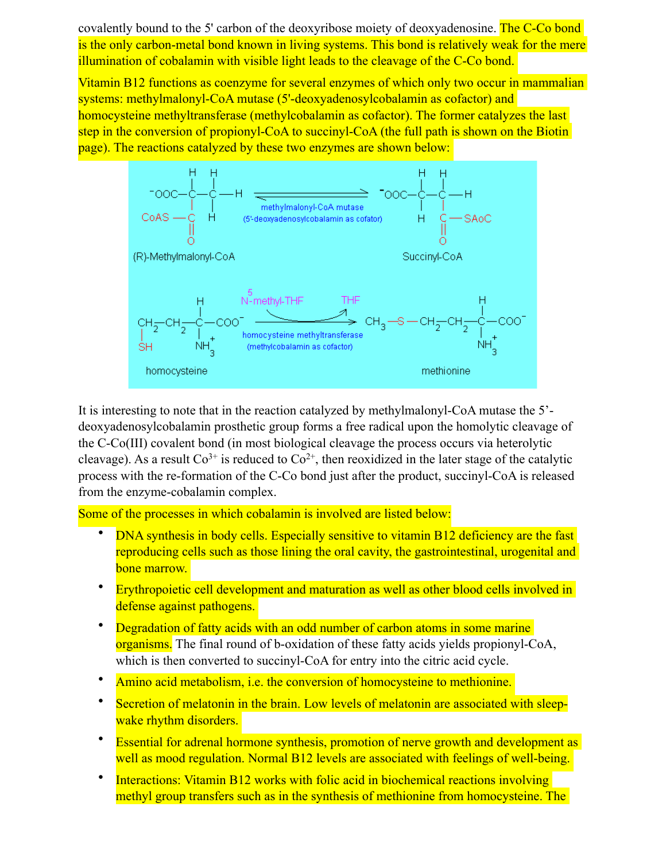covalently bound to the 5' carbon of the deoxyribose moiety of deoxyadenosine. The C-Co bond is the only carbon-metal bond known in living systems. This bond is relatively weak for the mere illumination of cobalamin with visible light leads to the cleavage of the C-Co bond.

Vitamin B12 functions as coenzyme for several enzymes of which only two occur in mammalian systems: methylmalonyl-CoA mutase (5'-deoxyadenosylcobalamin as cofactor) and homocysteine methyltransferase (methylcobalamin as cofactor). The former catalyzes the last step in the conversion of propionyl-CoA to succinyl-CoA (the full path is shown on the Biotin page). The reactions catalyzed by these two enzymes are shown below:



It is interesting to note that in the reaction catalyzed by methylmalonyl-CoA mutase the 5' deoxyadenosylcobalamin prosthetic group [forms](http://www.biological-oxidation.com/VitMin/VitB12.htm) a free radical upon the homolytic cleavage of the C-Co(III) covalent bond (in most biological cleavage the process occurs via heterolytic cleavage). As a result  $Co^{3+}$  is reduced to  $Co^{2+}$ , then reoxidized in the later stage of the catalytic process with the re-formation of the C-Co bond just after the product, succinyl-CoA is released from the enzyme-cobalamin complex.

Some of the processes in which cobalamin is involved are listed below:

- DNA synthesis in body cells. Especially sensitive to vitamin B12 deficiency are the fast reproducing cells such as those lining the oral cavity, the [gastrointestinal,](http://www.biological-oxidation.com/VitMin/VitB12.htm) urogenital and bone marrow.
- Erythropoietic cell development and maturation as well as other blood cells involved in defense against pathogens.
- Degradation of fatty acids with an odd number of carbon atoms in some marine organisms. The final round of b-oxidation of these fatty acids yields propionyl-CoA, which is then converted to succinyl-CoA for entry into the citric acid cycle.
- Amino acid [metabolism,](http://www.biological-oxidation.com/VitMin/VitB12.htm) i.e. the conversion of homocysteine to methionine.
- Secretion of melatonin in the brain. Low levels of melatonin are associated with sleepwake rhythm disorders.
- **Essential for adrenal hormone synthesis, promotion of nerve growth and development as** well as mood regulation. Normal B12 levels are associated with feelings of well-being.
- Interactions: Vitamin B12 works with folic acid in biochemical reactions involving methyl group transfers such as in the synthesis of methionine from homocysteine. The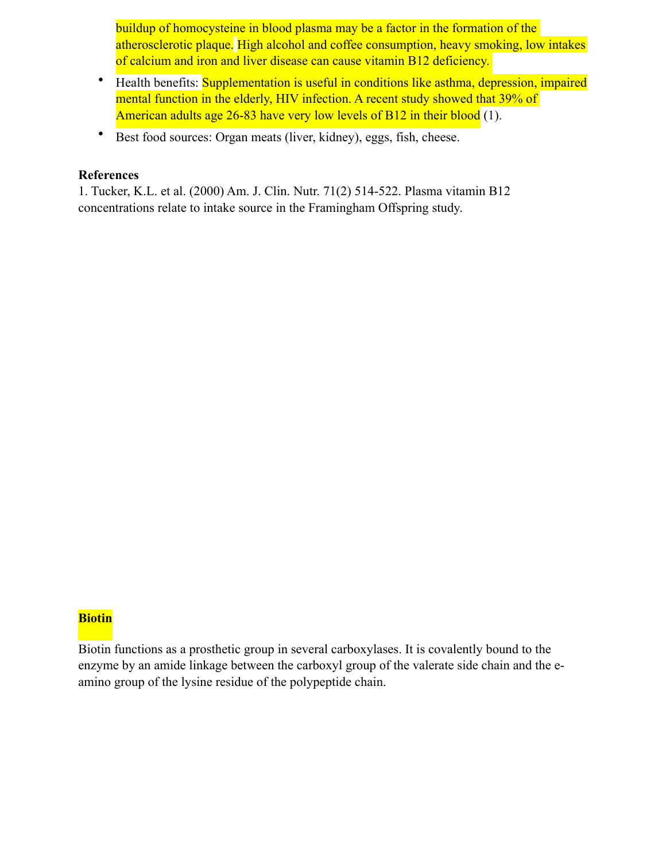buildup of homocysteine in blood plasma may be a factor in the formation of the atherosclerotic plaque. High alcohol and coffee consumption, heavy smoking, low intakes of calcium and iron and [liver disease](http://www.biological-oxidation.com/VitMin/VitB12.htm) can cause vitamin B12 deficiency.

- Health benefits: Supplementation is useful in conditions like asthma, depression, impaired mental function in the elderly, HIV infection. A recent study showed that 39% of American adults age 26-83 have very low levels of B12 in their blood (1).
- Best food sources: Organ [meats](http://www.biological-oxidation.com/VitMin/VitB12.htm) (liver, kidney), eggs, fish, cheese.

#### **References**

1. Tucker, K.L. et al. (2000) Am. J. Clin. Nutr. 71(2) 514-522. Plasma vitamin B12 concentrations relate to intake source in the Framingham Offspring study.

### **Biotin**

Biotin functions as a prosthetic group in several carboxylases. It is covalently bound to the enzyme by an amide linkage between the carboxyl group of the valerate side chain and the eamino group of the lysine residue of the polypeptide chain.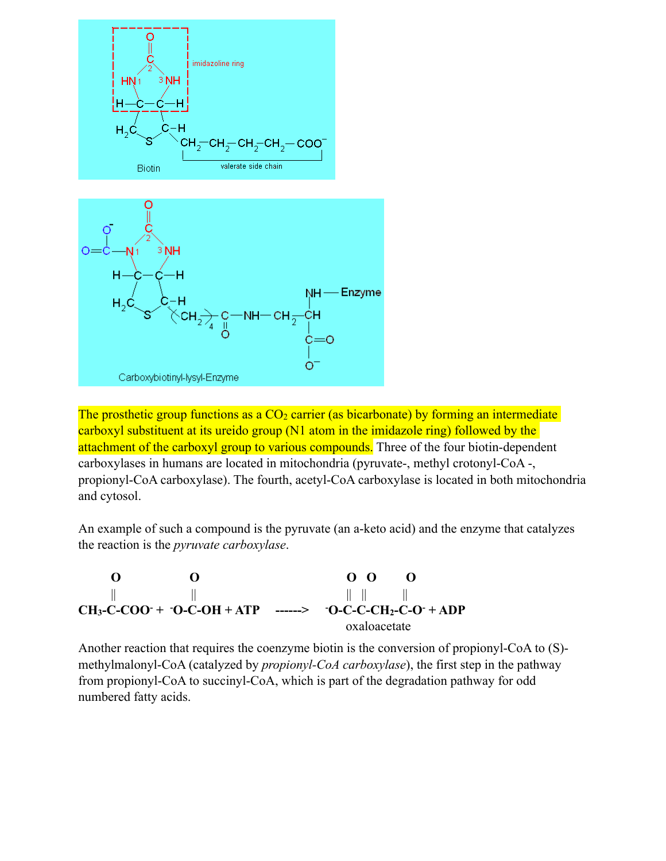

The prosthetic group functions as a  $CO<sub>2</sub>$  carrier (as bicarbonate) by forming an intermediate carboxyl substituent at its ureido group (N1 atom in the imidazole ring) followed by the attachment of the carboxyl group to various compounds. Three of the four biotin-dependent carboxylases in humans are located in mitochondria (pyruvate-, methyl crotonyl-CoA -, propionyl-CoA carboxylase). The fourth, acetyl-CoA carboxylase is located in both mitochondria and cytosol.

An example of such a compound is the pyruvate (an a-keto acid) and the enzyme that catalyzes the reaction is the *pyruvate carboxylase*.

 **O O O O O** || || || || || **CH3-C-COO- + - O-C-OH + ATP ------> -**  $O-C-C-CH<sub>2</sub>-C-O^- + ADP$ oxaloacetate

Another reaction that requires the coenzyme biotin is the conversion of propionyl-CoA to (S) methylmalonyl-CoA (catalyzed by *propionyl-CoA carboxylase*), the first step in the pathway from propionyl-CoA to succinyl-CoA, which is part of the degradation pathway for odd numbered fatty acids.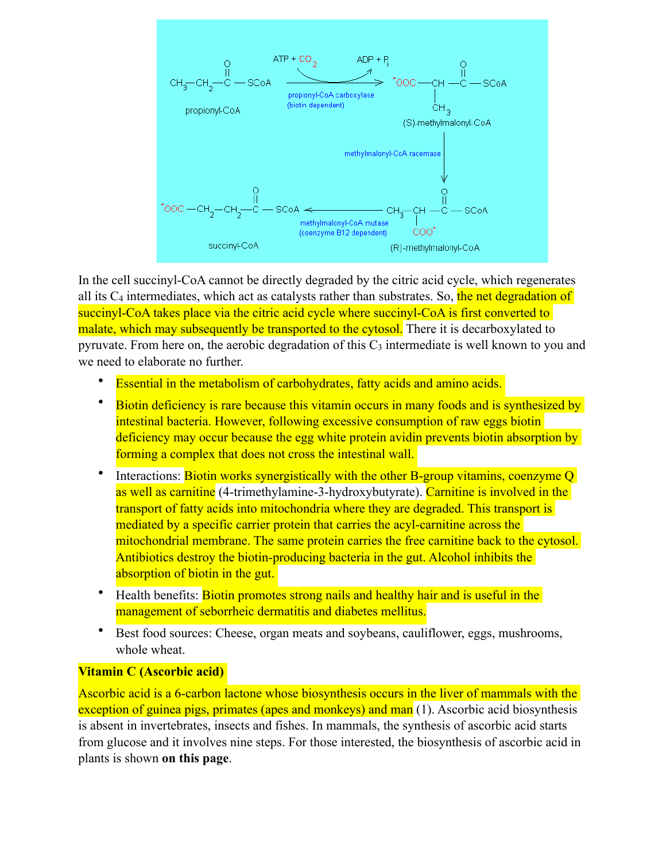

In the cell succinyl-CoA cannot be directly degraded by the citric acid cycle, which regenerates all its  $C_4$  intermediates, which act as catalysts rather than substrates. So, the net degradation of succinyl-CoA takes place via the citric acid cycle where succinyl-CoA is first converted to malate, which may subsequently be transported to the cytosol. There it is decarboxylated to pyruvate. From here on, the aerobic degradation of this  $C_3$  intermediate is well known to you and we need to elaborate no further.

- **Essential in the metabolism of carbohydrates, fatty acids and amino acids.**
- Biotin deficiency is rare because this vitamin occurs in many foods and is synthesized by intestinal bacteria. However, following excessive consumption of raw eggs biotin deficiency may occur because the egg white protein avidin prevents biotin absorption by forming a complex that does not cross the intestinal wall.
- Interactions: Biotin works synergistically with the other B-group vitamins, coenzyme Q as well as carnitine (4-trimethylamine-3-hydroxybutyrate). Carnitine is involved in the transport of fatty acids into mitochondria where they are degraded. This transport is mediated by a specific carrier protein that carries the acyl-carnitine across the mitochondrial membrane. The same protein carries the free carnitine back to the cytosol. Antibiotics destroy the biotin-producing bacteria in the gut. Alcohol inhibits the absorption of biotin in the gut.
- Health benefits: Biotin promotes strong nails and healthy hair and is useful in the management of seborrheic dermatitis and diabetes mellitus.
- Best food sources: Cheese, organ meats and soybeans, cauliflower, eggs, mushrooms, whole wheat.

### **Vitamin C (Ascorbic acid)**

Ascorbic acid is a 6-carbon lactone whose biosynthesis occurs in the liver of mammals with the exception of guinea pigs, primates (apes and monkeys) and man (1). Ascorbic acid biosynthesis is absent in invertebrates, insects and fishes. In mammals, the synthesis of ascorbic acid starts from [glucose](http://www.biological-oxidation.com/VitMin/VitC.htm) and it involves nine steps. For those interested, the biosynthesis of ascorbic acid in plants is shown **[on this page](http://www.biological-oxidation.com/VitMin/AAplants.htm)**.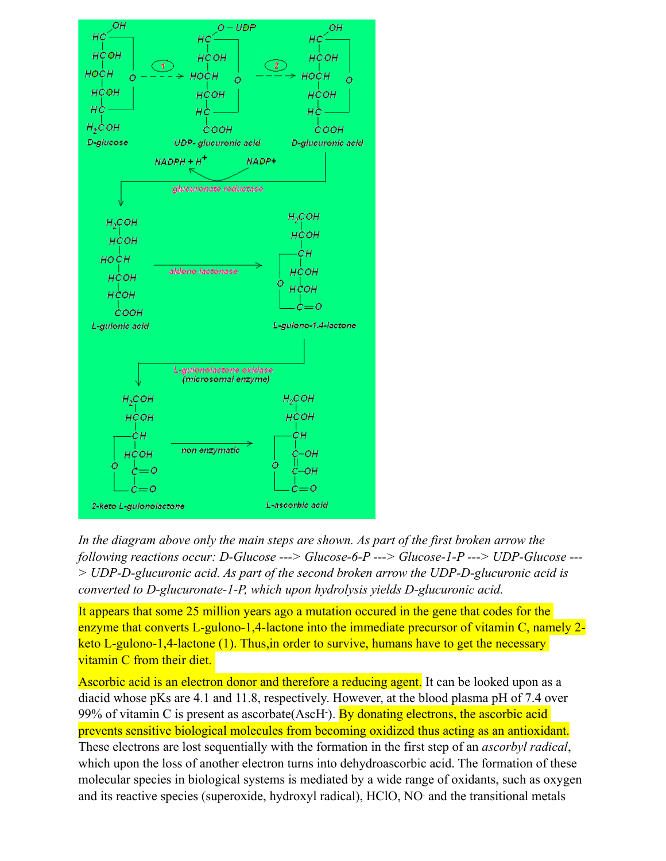

*In the diagram above only the main steps are shown. As part of the first broken arrow the following reactions occur: D-Glucose ---> Glucose-6-P ---> Glucose-1-P ---> UDP-Glucose --- > UDP-D-glucuronic acid. As part of the second broken arrow the UDP-D-glucuronic acid is converted to D-glucuronate-1-P, which upon hydrolysis yields D-glucuronic acid.* 

It appears that some 25 million years ago a mutation occured in the gene that codes for the enzyme that converts L-gulono-1,4-lactone into the immediate precursor of vitamin C, namely 2keto L-gulono-1,4-lactone (1). Thus,in [order](http://www.biological-oxidation.com/VitMin/VitC.htm) to survive, humans have to get the necessary vitamin C from their [diet.](http://www.biological-oxidation.com/VitMin/VitC.htm)

Ascorbic acid is an electron donor and therefore a reducing agent. It can be looked upon as a diacid whose pKs are 4.1 and 11.8, respectively. However, at the blood plasma pH of 7.4 over 99% of vitamin C is present as ascorbate(AscH). By donating electrons, the ascorbic acid prevents sensitive biological molecules from becoming oxidized thus acting as an antioxidant. These electrons are lost sequentially with the formation in the first step of an *ascorbyl radical*, which upon the loss of another electron turns into dehydroascorbic acid. The formation of these molecular species in biological systems is mediated by a wide range of oxidants, such as oxygen and its reactive species (superoxide, hydroxyl radical), HClO, NO. and the transitional metals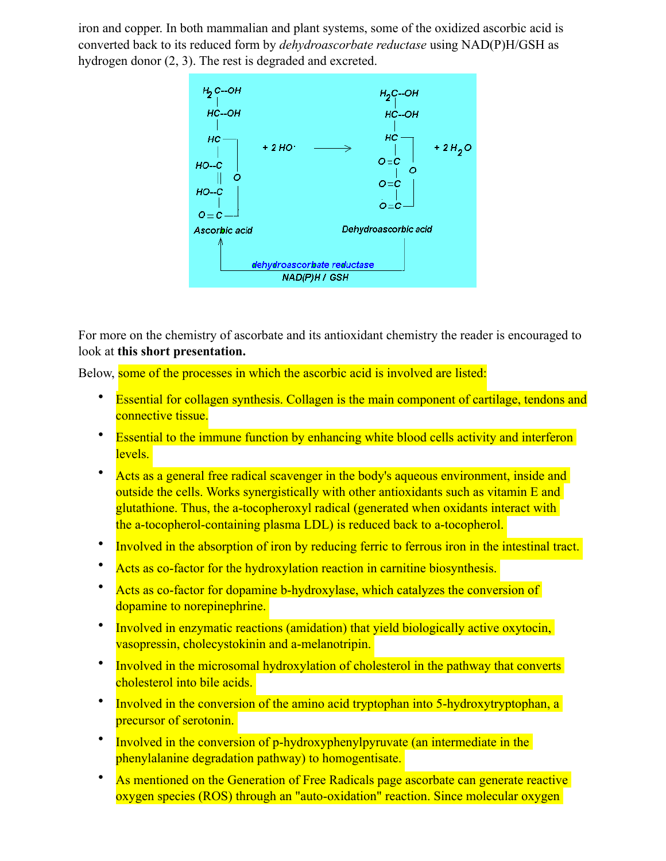iron and copper. In both mammalian and plant systems, some of the oxidized ascorbic acid is converted back to its reduced form by *dehydroascorbate reductase* using NAD(P)H/GSH as hydrogen donor (2, 3). The rest is degraded and excreted.



For more on the chemistry of ascorbate and its antioxidant chemistry the reader is encouraged to look at **[this short presentation.](http://www.healthcare.uiowa.edu/research/sfrbm/papers/virtual%2520school%2520papers/Buettner-Ascorbate-Chemistry.ppt)**

Below, some of the processes in which the ascorbic acid is involved are listed:

- Essential for collagen synthesis. Collagen is the main component of cartilage, tendons and connective tissue.
- Essential to the immune function by enhancing white blood cells activity and interferon levels.
- Acts as a general free radical scavenger in the body's aqueous environment, inside and outside the cells. Works synergistically with other antioxidants such as vitamin E and glutathione. Thus, the a-tocopheroxyl radical (generated when oxidants interact with the a-tocopherol-containing plasma LDL) is reduced back to a-tocopherol.
- Involved in the absorption of iron by reducing ferric to ferrous iron in the intestinal tract.
- Acts as co-factor for the hydroxylation reaction in carnitine biosynthesis.
- Acts as co-factor for dopamine b-hydroxylase, which catalyzes the conversion of dopamine to norepinephrine.
- Involved in enzymatic reactions (amidation) that yield biologically active oxytocin, vasopressin, cholecystokinin and a-melanotripin.
- Involved in the microsomal hydroxylation of cholesterol in the pathway that converts cholesterol into bile acids.
- Involved in the conversion of the amino acid tryptophan into 5-hydroxytryptophan, a precursor of serotonin.
- Involved in the conversion of p-hydroxyphenylpyruvate (an intermediate in the phenylalanine degradation pathway) to homogentisate.
- As mentioned on the Generation of Free Radicals page ascorbate can generate reactive oxygen species (ROS) through an "auto-oxidation" reaction. Since molecular oxygen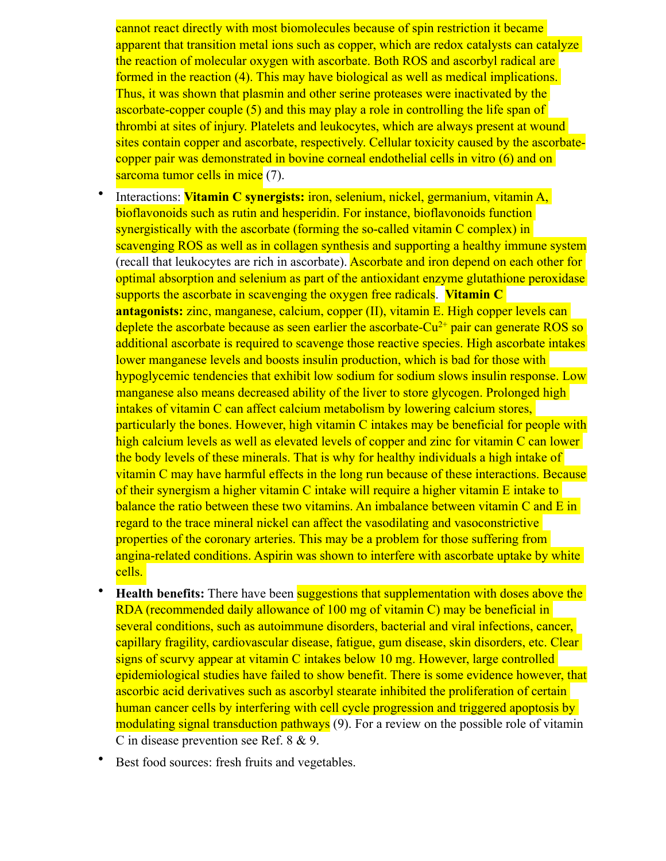cannot react directly with most biomolecules because of spin restriction it became apparent that transition metal ions such as copper, which are redox catalysts can catalyze the reaction of molecular oxygen with ascorbate. Both ROS and ascorbyl radical are formed in the reaction (4). This may have biological as well as medical implications. Thus, it was shown that plasmin and other serine proteases were inactivated by the ascorbate-copper couple (5) and this may play a role in controlling the life span of thrombi at sites of injury. Platelets and leukocytes, which are always present at wound sites contain copper and ascorbate, respectively. Cellular toxicity caused by the ascorbatecopper pair was demonstrated in bovine corneal endothelial cells in vitro (6) and on sarcoma tumor cells in mice (7).

- Interactions: **Vitamin C synergists:** iron, selenium, nickel, germanium, vitamin A, bioflavonoids such as rutin and hesperidin. For instance, bioflavonoids function synergistically with the ascorbate (forming the so-called vitamin C complex) in scavenging ROS as well as in collagen synthesis and supporting a healthy immune system (recall that leukocytes are rich in ascorbate). Ascorbate and iron depend on each other for optimal absorption and selenium as part of the antioxidant enzyme glutathione peroxidase supports the ascorbate in scavenging the oxygen free radicals. **Vitamin C antagonists:** zinc, manganese, calcium, copper (II), vitamin E. High copper levels can deplete the ascorbate because as seen earlier the ascorbate- $Cu^{2+}$  pair can generate ROS so additional ascorbate is required to scavenge those reactive species. High ascorbate intakes lower manganese levels and boosts insulin production, which is bad for those with hypoglycemic tendencies that exhibit low sodium for sodium slows insulin response. Low manganese also means decreased ability of the liver to store glycogen. Prolonged high intakes of vitamin C can affect calcium [metabolism](http://www.biological-oxidation.com/VitMin/VitC.htm) by lowering calcium stores, particularly the bones. However, high vitamin C intakes may be beneficial for people with high calcium levels as well as elevated levels of copper and zinc for vitamin C can lower the body levels of these minerals. That is why for healthy individuals a high intake of vitamin C may have harmful effects in the long run because of these interactions. Because of their synergism a higher vitamin C intake will require a higher vitamin E intake to balance the ratio between these two vitamins. An imbalance between vitamin C and E in regard to the trace mineral nickel can affect the vasodilating and vasoconstrictive properties of the coronary [arteries](http://www.biological-oxidation.com/VitMin/VitC.htm). This may be a problem for those suffering from angina-related conditions. Aspirin was shown to interfere with ascorbate uptake by white cells.
- **Health benefits:** There have been suggestions that supplementation with doses above the RDA (recommended daily allowance of 100 mg of vitamin C) may be beneficial in several conditions, such as autoimmune disorders, bacterial and viral infections, cancer, capillary fragility, cardiovascular disease, fatigue, gum disease, skin disorders, etc. Clear signs of scurvy appear at vitamin C intakes below 10 mg. However, large controlled epidemiological studies have failed to show benefit. There is some evidence however, that ascorbic acid derivatives such as ascorbyl stearate inhibited the proliferation of certain human cancer cells by interfering with cell cycle progression and triggered apoptosis by modulating signal transduction pathways (9). For a review on the possible role of vitamin C in disease prevention see Ref. 8 & [9.](http://www.nutritionj.com/content/pdf/1475-2891-2-7.pdf)
- Best food sources: fresh fruits and vegetables.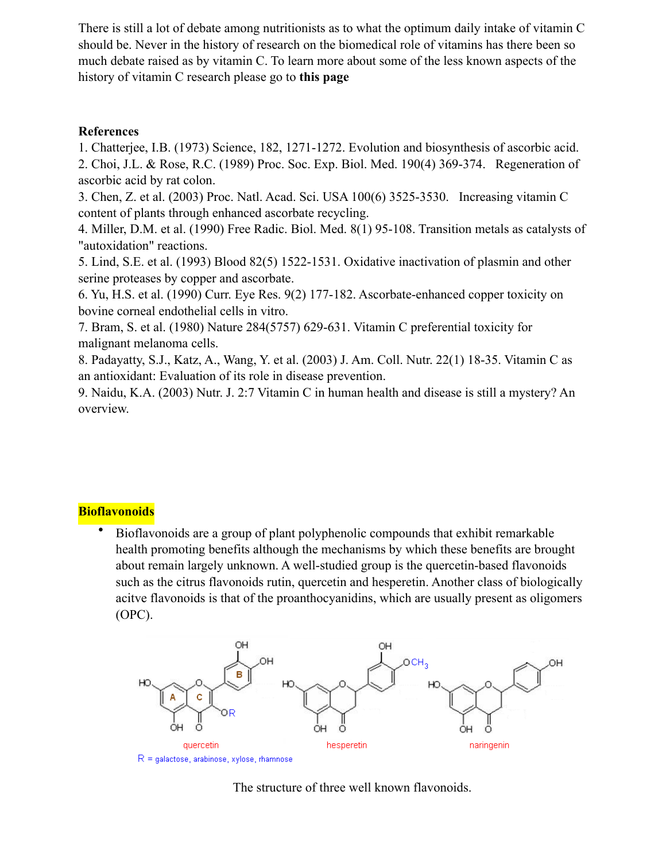There is still a lot of debate among nutritionists as to what the optimum daily intake of vitamin C should be. Never in the history of research on the biomedical role of vitamins has there been so much debate raised as by vitamin C. To learn more about some of the less known aspects of the history of vitamin C research please go to **[this page](http://www.biological-oxidation.com/VitMin/Cstory.htm)**

### **References**

1. Chatterjee, I.B. (1973) Science, 182, 1271-1272. Evolution and biosynthesis of ascorbic acid. 2. Choi, J.L. & Rose, R.C. (1989) Proc. Soc. Exp. Biol. Med. 190(4) 369-374. Regeneration of ascorbic acid by rat colon.

3. Chen, Z. et al. (2003) Proc. Natl. Acad. Sci. USA 100(6) 3525-3530. Increasing vitamin C content of plants through enhanced ascorbate recycling.

4. Miller, D.M. et al. (1990) Free Radic. Biol. Med. 8(1) 95-108. Transition metals as catalysts of "autoxidation" reactions.

5. Lind, S.E. et al. (1993) Blood 82(5) 1522-1531. Oxidative inactivation of plasmin and other serine proteases by copper and ascorbate.

6. Yu, H.S. et al. (1990) Curr. Eye Res. 9(2) 177-182. Ascorbate-enhanced copper toxicity on bovine corneal endothelial cells in vitro.

7. Bram, S. et al. (1980) Nature 284(5757) 629-631. Vitamin C preferential toxicity for malignant melanoma cells.

8. Padayatty, S.J., Katz, A., Wang, Y. et al. (2003) J. Am. Coll. Nutr. 22(1) 18-35. Vitamin C as an antioxidant: Evaluation of its role in disease prevention.

9. Naidu, K.A. (2003) Nutr. J. 2:7 Vitamin C in human health and disease is still a mystery? An overview.

## **Bioflavonoids**

• Bioflavonoids are a group of plant polyphenolic compounds that exhibit remarkable health promoting benefits although the mechanisms by which these benefits are brought about remain largely unknown. A well-studied group is the quercetin-based flavonoids such as the citrus flavonoids rutin, quercetin and hesperetin. Another class of biologically acitve flavonoids is that of the proanthocyanidins, which are usually present as oligomers (OPC).



The structure of three well known flavonoids.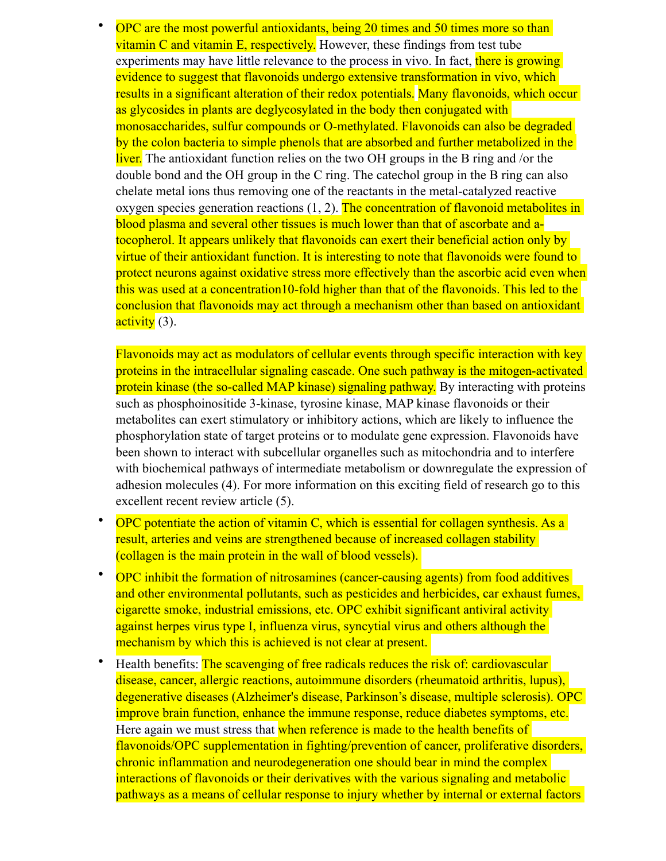• OPC are the most powerful antioxidants, being 20 times and 50 times more so than vitamin C and vitamin  $E$ , respectively. However, these findings from test tube experiments may have little relevance to the process in vivo. In fact, there is growing evidence to suggest that flavonoids undergo extensive transformation in vivo, which results in a significant alteration of their redox potentials. Many flavonoids, which occur as glycosides in plants are deglycosylated in the body then conjugated with monosaccharides, sulfur compounds or O-methylated. Flavonoids can also be degraded by the colon bacteria to simple phenols that are absorbed and further metabolized in the liver. The antioxidant function relies on the two OH groups in the B ring and /or the double bond and the OH group in the C ring. The catechol group in the B ring can also chelate metal ions thus removing one of the reactants in the metal-catalyzed reactive oxygen species generation reactions (1, 2). The concentration of flavonoid metabolites in blood plasma and several other tissues is much lower than that of ascorbate and atocopherol. It appears unlikely that flavonoids can exert their beneficial action only by virtue of their antioxidant function. It is interesting to note that flavonoids were found to protect neurons against oxidative stress more effectively than the ascorbic acid even when this was used at a concentration10-fold higher than that of the flavonoids. This led to the conclusion that flavonoids may act through a mechanism other than based on antioxidant activity (3).

Flavonoids may act as modulators of cellular events through specific interaction with key proteins in the intracellular signaling cascade. One such pathway is the mitogen-activated protein kinase (the so-called MAP kinase) signaling pathway. By interacting with proteins such as phosphoinositide 3-kinase, tyrosine kinase, MAP kinase flavonoids or their metabolites can exert stimulatory or inhibitory actions, which are likely to influence the phosphorylation state of target proteins or to modulate gene expression. Flavonoids have been shown to interact with subcellular organelles such as mitochondria and to interfere with biochemical pathways of intermediate metabolism or downregulate the expression of adhesion molecules (4). For more information on this exciting field of research go to this excellent recent review article (5).

- OPC potentiate the action of vitamin C, which is essential for collagen synthesis. As a result, arteries and veins are strengthened because of increased collagen stability (collagen is the main protein in the wall of blood vessels).
- OPC inhibit the formation of nitrosamines (cancer-causing agents) from food additives and other environmental pollutants, such as pesticides and herbicides, car exhaust fumes, cigarette smoke, industrial emissions, etc. OPC exhibit significant antiviral activity against herpes virus type I, influenza virus, syncytial virus and others although the mechanism by which this is achieved is not clear at present.
- Health benefits: The scavenging of free radicals reduces the risk of: cardiovascular disease, cancer, allergic reactions, autoimmune disorders (rheumatoid [arthritis,](http://www.biological-oxidation.com/VitMin/OPC.htm) lupus), degenerative diseases (Alzheimer's disease, Parkinson's disease, multiple sclerosis). OPC improve [brain function](http://www.biological-oxidation.com/VitMin/OPC.htm), enhance the immune response, reduce [diabetes symptoms](http://www.biological-oxidation.com/VitMin/OPC.htm), etc. Here again we must stress that when reference is made to the health benefits of flavonoids/OPC supplementation in fighting/prevention of cancer, proliferative disorders, chronic inflammation and neurodegeneration one should bear in mind the complex interactions of flavonoids or their derivatives with the various signaling and metabolic pathways as a means of cellular response to injury whether by internal or external factors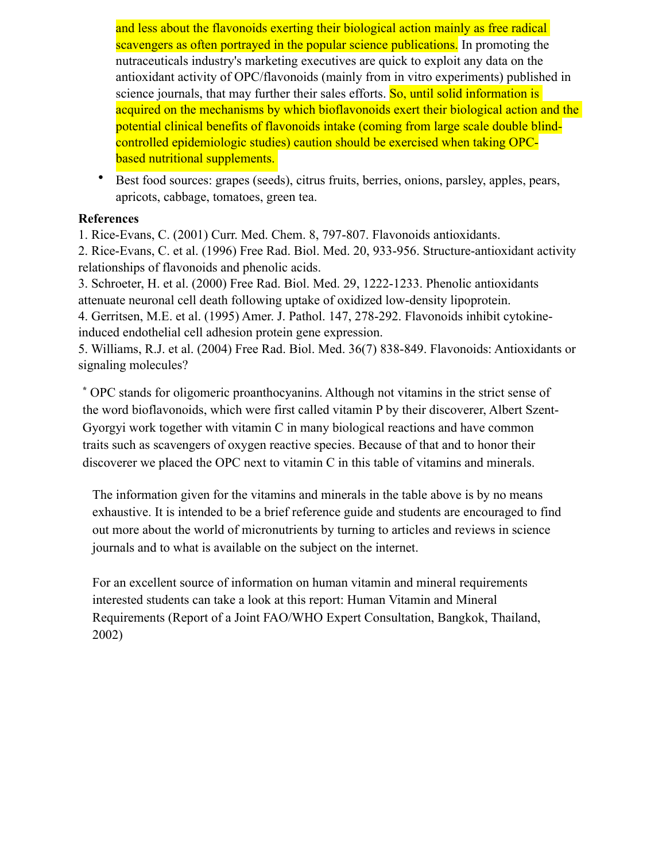and less about the flavonoids exerting their biological action mainly as free radical scavengers as often portrayed in the popular science publications. In promoting the nutraceuticals industry's marketing executives are quick to exploit any data on the antioxidant activity of OPC/flavonoids (mainly from in vitro experiments) published in science journals, that may further their sales efforts. So, until solid information is acquired on the mechanisms by which bioflavonoids exert their biological action and the potential clinical benefits of flavonoids intake (coming from large scale double blindcontrolled epidemiologic studies) caution should be exercised when taking OPCbased [nutritional supplements.](http://www.biological-oxidation.com/VitMin/OPC.htm)

• Best food sources: grapes (seeds), citrus fruits, berries, onions, parsley, apples, pears, apricots, cabbage, tomatoes, green tea.

### **References**

1. Rice-Evans, C. (2001) Curr. Med. Chem. 8, 797-807. Flavonoids antioxidants.

2. Rice-Evans, C. et al. (1996) Free Rad. Biol. Med. 20, 933-956. Structure-antioxidant activity relationships of flavonoids and phenolic acids.

3. Schroeter, H. et al. (2000) Free Rad. Biol. Med. 29, 1222-1233. Phenolic antioxidants attenuate neuronal cell death following uptake of oxidized low-density lipoprotein.

4. Gerritsen, M.E. et al. (1995) Amer. J. Pathol. 147, 278-292. Flavonoids inhibit cytokineinduced endothelial cell adhesion protein gene expression.

5. Williams, R.J. et al. (2004) Free Rad. Biol. Med. 36(7) 838-849. Flavonoids: Antioxidants or signaling molecules?

**\*** OPC stands for oligomeric proanthocyanins. Although not vitamins in the strict sense of the word bioflavonoids, which were first called vitamin P by their discoverer, Albert Szent-Gyorgyi work together with vitamin C in many biological reactions and have common traits such as scavengers of oxygen reactive species. Because of that and to honor their discoverer we placed the OPC next to vitamin C in this table of vitamins and minerals.

The information given for the vitamins and minerals in the table above is by no means exhaustive. It is intended to be a brief reference guide and students are encouraged to find out more about the world of micronutrients by turning to articles and reviews in science journals and to what is available on the subject on the internet.

For an excellent source of information on human vitamin and mineral requirements [interested students can take a look at this report: Human Vitamin and Mineral](http://www.fao.org/docrep/004/y2809e/y2809e00.htm)  Requirements (Report of a Joint FAO/WHO Expert Consultation, Bangkok, Thailand, 2002)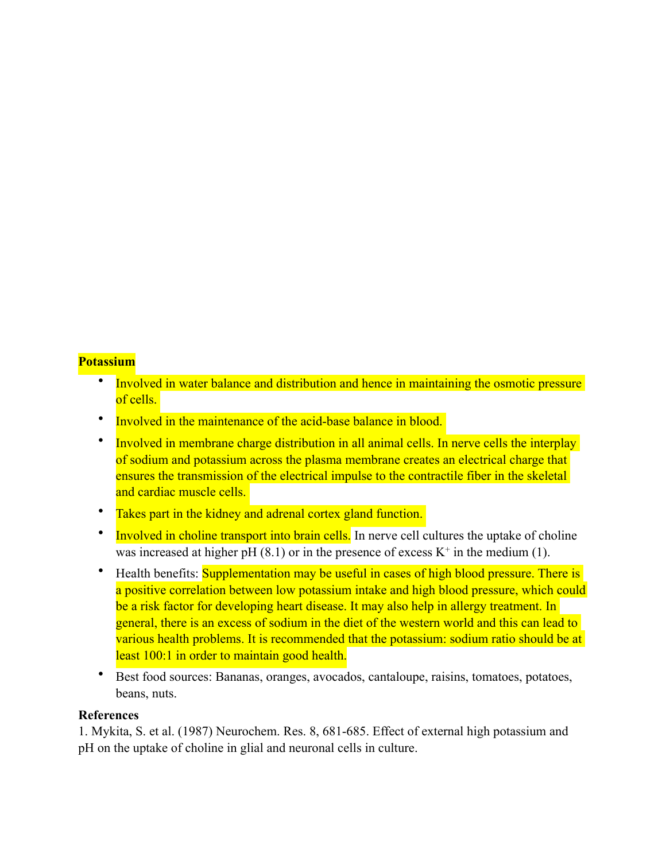### **Potassium**

- Involved in water balance and distribution and hence in maintaining the osmotic pressure of cells.
- Involved in the maintenance of the acid-base balance in blood.
- Involved in membrane charge distribution in all animal cells. In nerve cells the interplay of sodium and potassium across the plasma membrane creates an electrical charge that ensures the transmission of the electrical impulse to the contractile fiber in the skeletal and cardiac muscle cells.
- Takes part in the kidney and adrenal cortex gland function.
- Involved in choline transport into brain cells. In nerve cell cultures the uptake of choline was increased at higher pH  $(8.1)$  or in the presence of excess  $K^+$  in the medium (1).
- Health benefits: Supplementation may be useful in cases of high blood pressure. There is a positive correlation between low potassium intake and high blood pressure, which could be a risk factor for developing heart disease. It may also help in allergy treatment. In general, there is an excess of sodium in the diet of the western world and this can lead to various health problems. It is recommended that the potassium: sodium ratio should be at least 100:1 in order to maintain good health.
- Best food sources: Bananas, oranges, avocados, cantaloupe, raisins, tomatoes, potatoes, beans, nuts.

### **References**

1. Mykita, S. et al. (1987) Neurochem. Res. 8, 681-685. Effect of external high potassium and pH on the uptake of [choline](http://www.biological-oxidation.com/VitMin/Potassium.htm) in glial and neuronal cells in culture.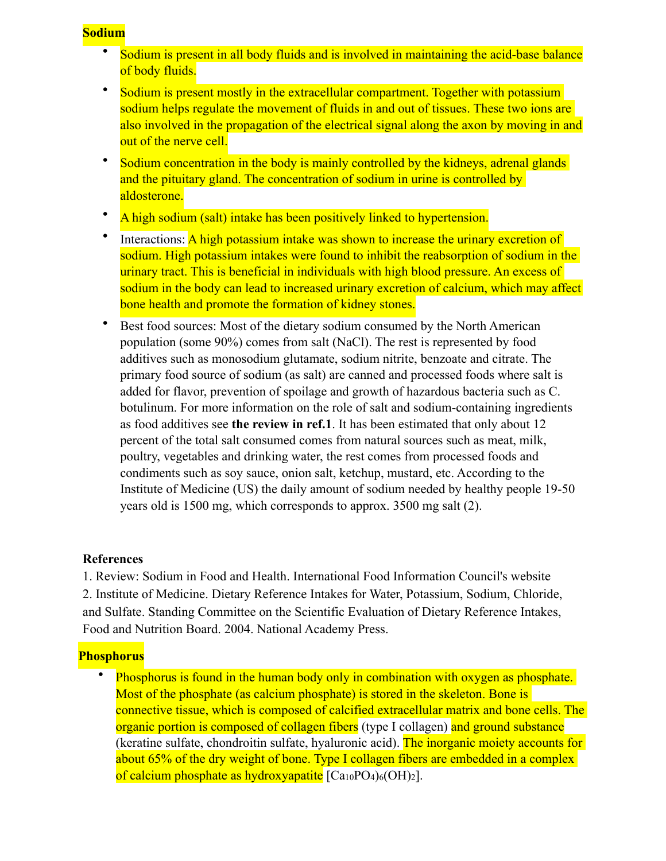### **Sodium**

- Sodium is present in all body fluids and is involved in maintaining the acid-base balance of body fluids.
- Sodium is present mostly in the extracellular compartment. Together with potassium sodium helps regulate the movement of fluids in and out of tissues. These two ions are also involved in the propagation of the electrical signal along the axon by moving in and out of the nerve cell.
- Sodium concentration in the body is mainly controlled by the kidneys, adrenal glands and the pituitary gland. The concentration of sodium in urine is controlled by aldosterone.
- A high sodium (salt) intake has been positively linked to hypertension.
- Interactions: A high potassium intake was shown to increase the urinary excretion of sodium. High potassium intakes were found to inhibit the reabsorption of sodium in the urinary tract. This is beneficial in individuals with high blood pressure. An excess of sodium in the body can lead to increased urinary excretion of calcium, which may affect bone health and promote the formation of kidney stones.
- Best food sources: Most of the dietary sodium consumed by the North American population (some 90%) comes from salt (NaCl). The rest is represented by food additives such as monosodium glutamate, sodium nitrite, benzoate and citrate. The primary food source of sodium (as salt) are canned and processed foods where salt is added for flavor, prevention of spoilage and growth of hazardous bacteria such as C. botulinum. For more information on the role of salt and sodium-containing ingredients as food additives see **[the review in ref.1](http://ific.org/publications/reviews/sodiumir.cfm)**. It has been estimated that only about 12 percent of the total salt consumed comes from natural sources such as meat, milk, poultry, vegetables and drinking water, the rest comes from processed foods and condiments such as soy sauce, onion salt, ketchup, mustard, etc. According to the Institute of Medicine (US) the daily amount of sodium needed by healthy people 19-50 years old is 1500 mg, which corresponds to approx. 3500 mg salt (2).

## **References**

1. Review: Sodium in Food and [Health.](http://www.biological-oxidation.com/VitMin/Sodium.htm) International Food Information Council's website 2. Institute of [Medicine.](http://www.biological-oxidation.com/VitMin/Sodium.htm) Dietary Reference Intakes for Water, Potassium, Sodium, Chloride, and Sulfate. Standing Committee on the Scientific Evaluation of Dietary Reference Intakes, Food and Nutrition Board. 2004. National Academy Press.

## **Phosphorus**

Phosphorus is found in the human body only in combination with oxygen as phosphate. Most of the phosphate (as calcium phosphate) is stored in the skeleton. Bone is connective tissue, which is composed of calcified extracellular matrix and bone cells. The organic portion is composed of collagen fibers (type I collagen) and ground substance (keratine sulfate, chondroitin sulfate, hyaluronic acid). The inorganic moiety accounts for about 65% of the dry weight of bone. Type I collagen fibers are embedded in a complex of calcium phosphate as hydroxyapatite  $[Ca_{10}PO_4]_6(OH)_2$ .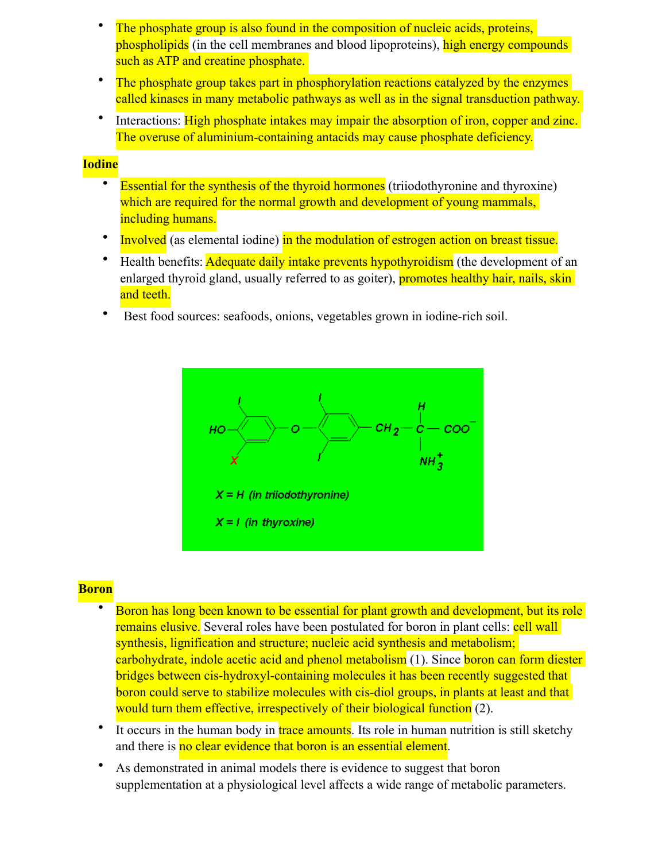- The phosphate group is also found in the composition of nucleic acids, proteins, phospholipids (in the cell membranes and blood lipoproteins), high energy compounds such as ATP and creatine phosphate.
- The phosphate group takes part in phosphorylation reactions catalyzed by the enzymes called kinases in many metabolic pathways as well as in the signal transduction pathway.
- Interactions: High phosphate intakes may impair the absorption of iron, copper and zinc. The overuse of aluminium-containing antacids may cause phosphate deficiency.

#### **Iodine**

- Essential for the synthesis of the thyroid hormones (triiodothyronine and thyroxine) which are required for the normal growth and development of young mammals, including humans.
- Involved (as elemental iodine) in the modulation of estrogen action on breast tissue.
- Health benefits: Adequate daily intake prevents hypothyroidism (the development of an enlarged thyroid gland, usually referred to as goiter), promotes healthy hair, nails, skin and teeth.
- Best food sources: seafoods, onions, vegetables grown in iodine-rich soil.



#### **Boron**

- Boron has long been known to be essential for plant growth and development, but its role remains elusive. Several roles have been postulated for boron in plant cells: cell wall synthesis, lignification and structure; nucleic acid synthesis and metabolism; carbohydrate, indole acetic acid and phenol metabolism (1). Since boron can form diester bridges between cis-hydroxyl-containing molecules it has been recently suggested that boron could serve to stabilize molecules with cis-diol groups, in plants at least and that would turn them effective, irrespectively of their biological function (2).
- It occurs in the human body in trace amounts. Its role in human nutrition is still sketchy and there is no clear evidence that boron is an essential element.
- As demonstrated in animal models there is evidence to suggest that boron supplementation at a physiological level affects a wide range of metabolic parameters.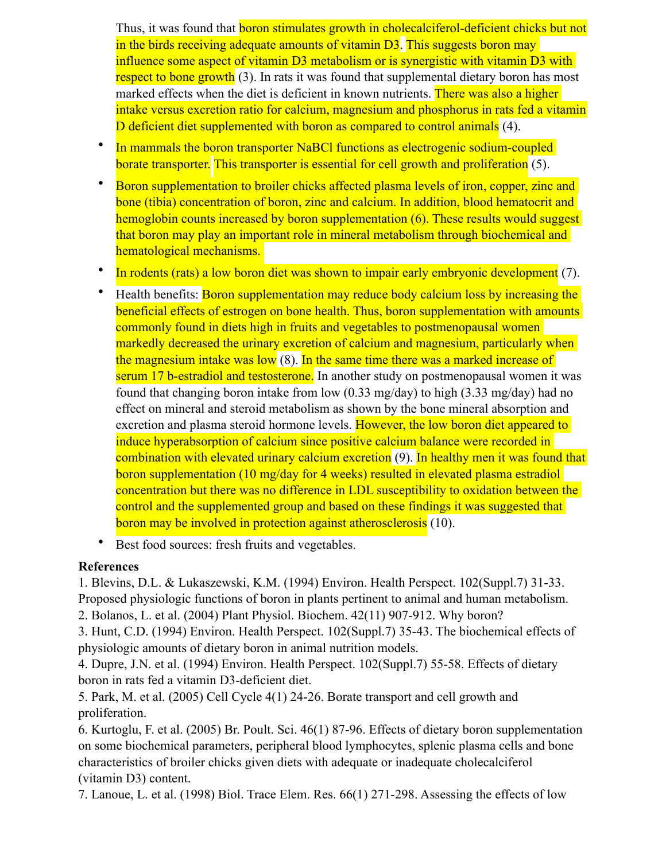Thus, it was found that **boron stimulates growth in cholecalciferol-deficient chicks but not** in the birds receiving adequate amounts of vitamin D3. This suggests boron may influence some aspect of vitamin D3 metabolism or is synergistic with vitamin D3 with respect to bone growth (3). In rats it was found that supplemental dietary boron has most marked effects when the diet is deficient in known nutrients. There was also a higher intake versus excretion ratio for calcium, magnesium and phosphorus in rats fed a vitamin D deficient diet supplemented with boron as compared to control animals (4).

- In mammals the boron transporter NaBCl functions as electrogenic sodium-coupled borate transporter. This transporter is essential for cell growth and proliferation (5).
- Boron supplementation to broiler chicks affected plasma levels of iron, copper, zinc and bone (tibia) concentration of boron, zinc and calcium. In addition, blood hematocrit and hemoglobin counts increased by boron supplementation (6). These results would suggest that boron may play an important role in mineral metabolism through biochemical and hematological mechanisms.
- In rodents (rats) a low boron diet was shown to impair early embryonic development (7).
- Health benefits: Boron supplementation may reduce body calcium loss by increasing the beneficial effects of estrogen on bone health. Thus, boron supplementation with amounts commonly found in diets high in fruits and vegetables to postmenopausal women markedly decreased the urinary excretion of calcium and magnesium, particularly when the magnesium intake was low (8). In the same time there was a marked increase of serum 17 b-estradiol and testosterone. In another study on postmenopausal women it was found that changing boron intake from low (0.33 mg/day) to high (3.33 mg/day) had no effect on mineral and steroid metabolism as shown by the bone mineral absorption and excretion and plasma steroid hormone levels. However, the low boron diet appeared to induce hyperabsorption of calcium since positive calcium balance were recorded in combination with elevated urinary calcium excretion (9). In healthy men it was found that boron supplementation (10 mg/day for 4 weeks) resulted in elevated plasma estradiol concentration but there was no difference in LDL susceptibility to oxidation between the control and the supplemented group and based on these findings it was suggested that boron may be involved in protection against atherosclerosis (10).
- Best food sources: fresh fruits and vegetables.

## **References**

1. Blevins, D.L. & Lukaszewski, K.M. (1994) Environ. Health Perspect. 102(Suppl.7) 31-33. Proposed physiologic functions of boron in plants pertinent to animal and human metabolism.

2. Bolanos, L. et al. (2004) Plant Physiol. Biochem. 42(11) 907-912. Why boron?

3. Hunt, C.D. (1994) Environ. Health Perspect. 102(Suppl.7) 35-43. The biochemical effects of physiologic amounts of dietary boron in animal nutrition models.

4. Dupre, J.N. et al. (1994) Environ. Health Perspect. 102(Suppl.7) 55-58. Effects of dietary boron in rats fed a vitamin D3-deficient diet.

5. Park, M. et al. (2005) Cell Cycle 4(1) 24-26. Borate transport and cell growth and proliferation.

6. Kurtoglu, F. et al. (2005) Br. Poult. Sci. 46(1) 87-96. Effects of dietary boron supplementation on some biochemical parameters, peripheral blood lymphocytes, splenic plasma cells and bone characteristics of broiler chicks given [diets](http://www.biological-oxidation.com/VitMin/Boron.htm) with adequate or inadequate cholecalciferol ([vitamin](http://www.biological-oxidation.com/VitMin/Boron.htm) D3) content.

7. Lanoue, L. et al. (1998) Biol. Trace Elem. Res. 66(1) 271-298. Assessing the effects of low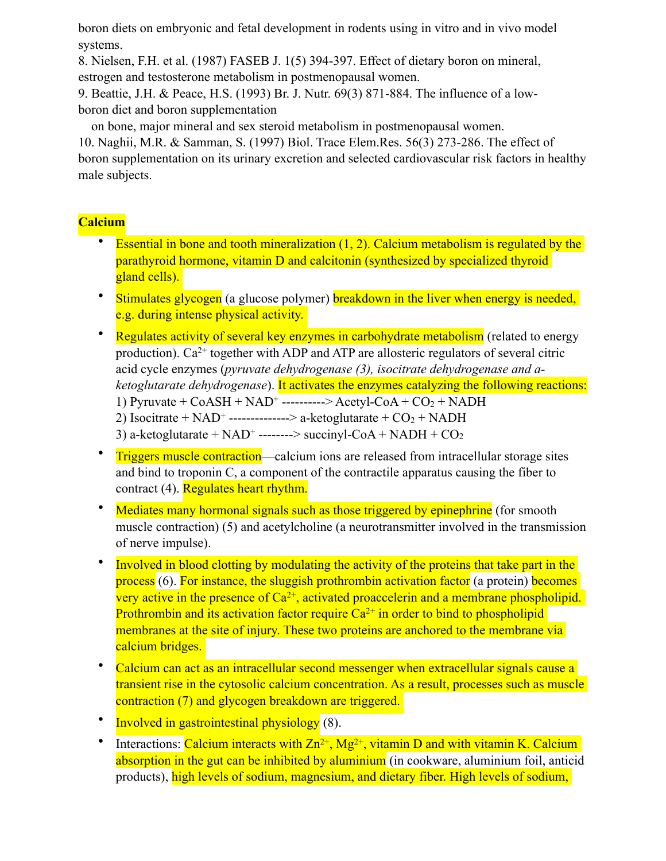boron diets on embryonic and fetal [development](http://www.biological-oxidation.com/VitMin/Boron.htm) in rodents using in vitro and in vivo model systems.

8. Nielsen, F.H. et al. (1987) FASEB J. 1(5) 394-397. Effect of dietary boron on mineral, estrogen and testosterone [metabolism](http://www.biological-oxidation.com/VitMin/Boron.htm) in postmenopausal women.

9. Beattie, J.H. & Peace, H.S. (1993) Br. J. Nutr. 69(3) 871-884. The influence of a lowboron [diet](http://www.biological-oxidation.com/VitMin/Boron.htm) and boron supplementation

on bone, major mineral and sex steroid metabolism in postmenopausal women.

10. Naghii, M.R. & Samman, S. (1997) Biol. Trace Elem.Res. 56(3) 273-286. The effect of boron supplementation on its urinary excretion and selected cardiovascular risk factors in healthy male subjects.

# **Calcium**

- Essential in bone and tooth mineralization  $(1, 2)$  $(1, 2)$  $(1, 2)$  $(1, 2)$ . Calcium [metabolism](http://www.biological-oxidation.com/VitMin/Calcium.htm) is regulated by the [parathyroid hormone, vitamin D and calcitonin \(synthesized by specialized thyroid](http://www.biological-oxidation.com/VitMin/Calcium.htm)  gland cells).
- Stimulates glycogen (a [glucose](http://www.biological-oxidation.com/VitMin/Calcium.htm) polymer) breakdown in the liver when energy is needed, e.g. during intense physical activity.
- Regulates activity of several key enzymes in carbohydrate metabolism (related to energy production).  $Ca^{2+}$  together with ADP and ATP are allosteric regulators of several citric acid cycle enzymes (*pyruvate dehydrogenase ([3\)](http://www.pubmedcentral.nih.gov/articlerender.jcgi?tool=pubmed&pubmedid=14644048), isocitrate dehydrogenase and aketoglutarate dehydrogenase*). It activates the enzymes catalyzing the following reactions: 1) Pyruvate +  $CoASH + NAD^+$  ----------> Acetyl- $CoA + CO_2 + NADH$ 2) Isocitrate +  $NAD^+$  --------------> a-ketoglutarate +  $CO_2$  +  $NADH$ 3) a-ketoglutarate +  $NAD^+$  --------> succinyl-CoA +  $NADH + CO<sub>2</sub>$
- **Triggers muscle contraction—calcium ions are released from intracellular storage sites** and bind to troponin C, a component of the contractile apparatus causing the fiber to contract [\(4](http://www.jstage.jst.go.jp/article/jphs/104/109/_pdf)). Regulates heart rhythm.
- Mediates many hormonal signals such as those triggered by epinephrine (for smooth muscle contraction) (5) and acetylcholine (a neurotransmitter involved in the transmission of nerve impulse).
- Involved in blood clotting by modulating the activity of the proteins that take part in the process ([6\)](http://protein.bio.msu.ru/biokhimiya/contents/v67/full/67010005.html). For instance, the sluggish prothrombin [activation](http://www.biological-oxidation.com/VitMin/Calcium.htm) factor (a protein) becomes very active in the presence of  $Ca^{2+}$ , activated proaccelerin and a membrane phospholipid. Prothrombin and its activation factor require  $Ca^{2+}$  in order to bind to phospholipid membranes at the site of injury. These two proteins are anchored to the membrane via calcium bridges.
- Calcium can act as an intracellular second messenger when extracellular signals cause a transient rise in the cytosolic calcium concentration. As a result, processes such as muscle contraction [\(7](http://www.jstage.jst.go.jp/article/jphs/100/5/519/_pdf)) and glycogen breakdown are triggered.
- Involved in gastrointestinal physiology [\(8](http://www.wjgnet.com/1007-9327/12/3229.asp)).
- Interactions: Calcium interacts with  $Zn^{2+}$ , Mg<sup>2+</sup>, vitamin D and with vitamin K. Calcium absorption in the gut can be inhibited by aluminium (in cookware, aluminium foil, anticid products), high levels of sodium, magnesium, and dietary fiber. High levels of sodium,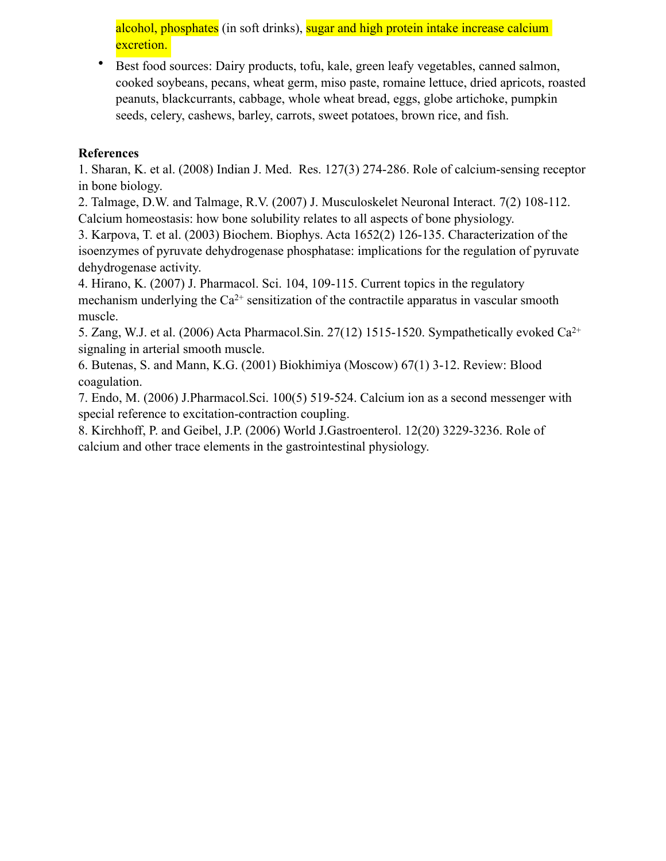alcohol, phosphates (in soft drinks), sugar and high protein intake increase calcium excretion.

• Best food sources: Dairy products, tofu, kale, green leafy vegetables, canned salmon, cooked soybeans, pecans, wheat germ, miso paste, romaine lettuce, dried apricots, roasted peanuts, blackcurrants, cabbage, whole wheat bread, eggs, globe artichoke, pumpkin seeds, celery, cashews, barley, carrots, sweet potatoes, brown rice, and fish.

## **References**

1. Sharan, K. et al. (2008) Indian J. Med. Res. 127(3) 274-286. Role of calcium-sensing receptor in bone biology.

2. Talmage, D.W. and Talmage, R.V. (2007) J. Musculoskelet Neuronal Interact. 7(2) 108-112. Calcium homeostasis: how bone solubility relates to all aspects of bone physiology.

3. Karpova, T. et al. (2003) Biochem. Biophys. Acta 1652(2) 126-135. Characterization of the isoenzymes of pyruvate dehydrogenase phosphatase: implications for the regulation of pyruvate dehydrogenase activity.

4. Hirano, K. (2007) J. Pharmacol. Sci. 104, 109-115. Current topics in the regulatory mechanism underlying the  $Ca^{2+}$  sensitization of the contractile apparatus in vascular smooth muscle.

5. Zang, W.J. et al. (2006) Acta Pharmacol.Sin. 27(12) 1515-1520. Sympathetically evoked Ca2+ signaling in arterial smooth muscle.

6. Butenas, S. and Mann, K.G. (2001) Biokhimiya (Moscow) 67(1) 3-12. Review: Blood coagulation.

7. Endo, M. (2006) J.Pharmacol.Sci. 100(5) 519-524. Calcium ion as a second messenger with special reference to excitation-contraction coupling.

8. Kirchhoff, P. and Geibel, J.P. (2006) World J.Gastroenterol. 12(20) 3229-3236. Role of calcium and other trace elements in the [gastrointestinal](http://www.biological-oxidation.com/VitMin/Calcium.htm) physiology.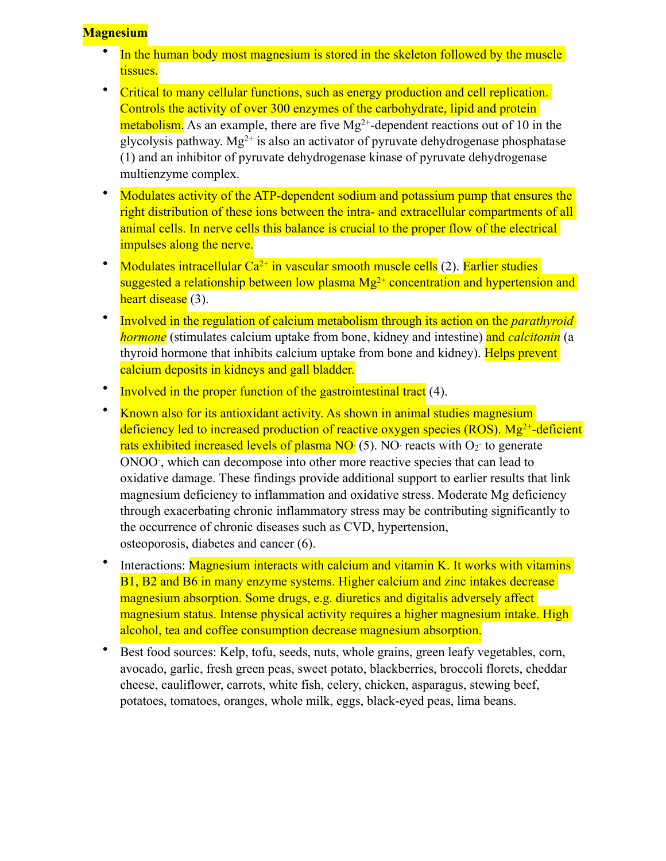# **Magnesium**

- In the human body most magnesium is stored in the skeleton followed by the muscle tissues.
- Critical to many cellular functions, such as energy production and cell replication. Controls the activity of over 300 enzymes of the carbohydrate, lipid and protein metabolism. As an example, there are five  $Mg^{2+}$ -dependent reactions out of 10 in the glycolysis pathway. Mg<sup>2+</sup> is also an activator of pyruvate dehydrogenase phosphatase [\(1](http://www.pnas.org/cgi/reprint/93/10/4953)) and an inhibitor of pyruvate dehydrogenase kinase of pyruvate dehydrogenase multienzyme complex.
- Modulates activity of the ATP-dependent sodium and potassium pump that ensures the right distribution of these ions between the intra- and extracellular compartments of all animal cells. In nerve cells this balance is crucial to the proper flow of the electrical impulses along the nerve.
- Modulates intracellular  $Ca^{2+}$  in vascular smooth muscle cells (2). Earlier studies suggested a relationship between low plasma  $Mg^{2+}$  concentration and hypertension and heart disease (3).
- Involved in the regulation of calcium [metabolism](http://www.biological-oxidation.com/VitMin/Mg.htm) through its action on the *parathyroid hormone* (stimulates calcium uptake from bone, kidney and intestine) and *calcitonin* (a thyroid hormone that inhibits calcium uptake from bone and kidney). Helps prevent calcium deposits in kidneys and gall bladder.
- Involved in the proper function of the [gastrointestinal tract](http://www.biological-oxidation.com/VitMin/Mg.htm) (4).
- Known also for its antioxidant activity. As shown in animal studies magnesium deficiency led to increased production of reactive oxygen species (ROS).  $Mg^{2+}$ -deficient rats exhibited increased levels of plasma  $NO<sub>1</sub>$  (5). NO reacts with  $O<sub>2</sub>$  to generate ONOO- , which can decompose into other more reactive species that can lead to oxidative damage. These findings provide additional support to earlier results that link magnesium deficiency to inflammation and oxidative stress. Moderate Mg deficiency through exacerbating chronic inflammatory stress may be contributing significantly to the occurrence of chronic diseases such as CVD, hypertension, osteoporosis, [diabetes](http://www.biological-oxidation.com/VitMin/Mg.htm) and cancer (6).
- Interactions: Magnesium interacts with calcium and vitamin K. It works with vitamins B1, B2 and B6 in many enzyme systems. Higher calcium and zinc intakes decrease magnesium absorption. Some drugs, e.g. diuretics and digitalis adversely affect magnesium status. Intense physical activity requires a higher magnesium intake. High alcohol, tea and coffee consumption decrease magnesium absorption.
- Best food sources: Kelp, tofu, seeds, nuts, whole grains, green leafy vegetables, corn, avocado, garlic, fresh green peas, sweet potato, blackberries, broccoli florets, cheddar cheese, cauliflower, carrots, white fish, celery, chicken, asparagus, stewing beef, potatoes, tomatoes, oranges, whole milk, eggs, black-eyed peas, lima beans.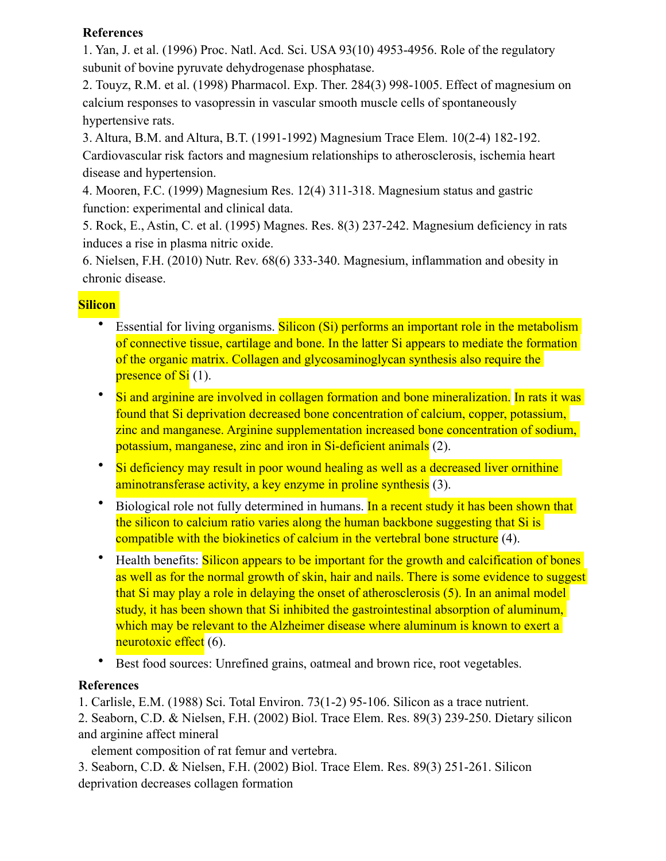# **References**

1. Yan, J. et al. (1996) Proc. Natl. Acd. Sci. USA 93(10) 4953-4956. Role of the regulatory subunit of bovine pyruvate dehydrogenase phosphatase.

2. Touyz, R.M. et al. (1998) Pharmacol. Exp. Ther. 284(3) 998-1005. Effect of magnesium on calcium responses to vasopressin in vascular smooth muscle cells of spontaneously hypertensive rats.

3. Altura, B.M. and Altura, B.T. (1991-1992) Magnesium Trace Elem. 10(2-4) 182-192. [Cardiovascular risk factors and magnesium relationships to atherosclerosis, ischemia heart](http://www.biological-oxidation.com/VitMin/Mg.htm)  disease and [hypertension.](http://www.biological-oxidation.com/VitMin/Mg.htm)

4. Mooren, F.C. (1999) Magnesium Res. 12(4) 311-318. Magnesium status and gastric function: experimental and clinical data.

5. Rock, E., Astin, C. et al. (1995) Magnes. Res. 8(3) 237-242. Magnesium deficiency in rats induces a rise in plasma nitric oxide.

6. Nielsen, F.H. (2010) Nutr. Rev. 68(6) 333-340. Magnesium, inflammation and obesity in chronic disease.

# **Silicon**

- Essential for living organisms. Silicon (Si) performs an important role in the metabolism of connective tissue, cartilage and bone. In the latter Si appears to mediate the formation of the organic matrix. Collagen and glycosaminoglycan synthesis also require the presence of  $Si(1)$ .
- Si and arginine are involved in collagen formation and bone mineralization. In rats it was found that Si deprivation decreased bone concentration of calcium, copper, potassium, zinc and manganese. Arginine supplementation increased bone concentration of sodium, potassium, manganese, zinc and iron in Si-deficient animals (2).
- Si deficiency may result in poor wound healing as well as a decreased liver ornithine aminotransferase activity, a key enzyme in proline synthesis (3).
- Biological role not fully determined in humans. In a recent study it has been shown that the silicon to calcium ratio varies along the human backbone suggesting that Si is compatible with the biokinetics of calcium in the vertebral bone structure (4).
- Health benefits: Silicon appears to be important for the growth and calcification of bones as well as for the normal growth of skin, hair and nails. There is some evidence to suggest that Si may play a role in delaying the onset of atherosclerosis (5). In an animal model study, it has been shown that Si inhibited the gastrointestinal absorption of aluminum, which may be relevant to the Alzheimer disease where aluminum is known to exert a neurotoxic effect (6).
- Best food sources: Unrefined grains, oatmeal and brown rice, root vegetables.

# **References**

1. Carlisle, E.M. (1988) Sci. Total Environ. 73(1-2) 95-106. Silicon as a trace nutrient.

2. Seaborn, C.D. & Nielsen, F.H. (2002) Biol. Trace Elem. Res. 89(3) 239-250. Dietary silicon and arginine affect mineral

element composition of rat femur and vertebra.

3. Seaborn, C.D. & Nielsen, F.H. (2002) Biol. Trace Elem. Res. 89(3) 251-261. Silicon deprivation decreases [collagen](http://www.biological-oxidation.com/VitMin/Silicon.htm) formation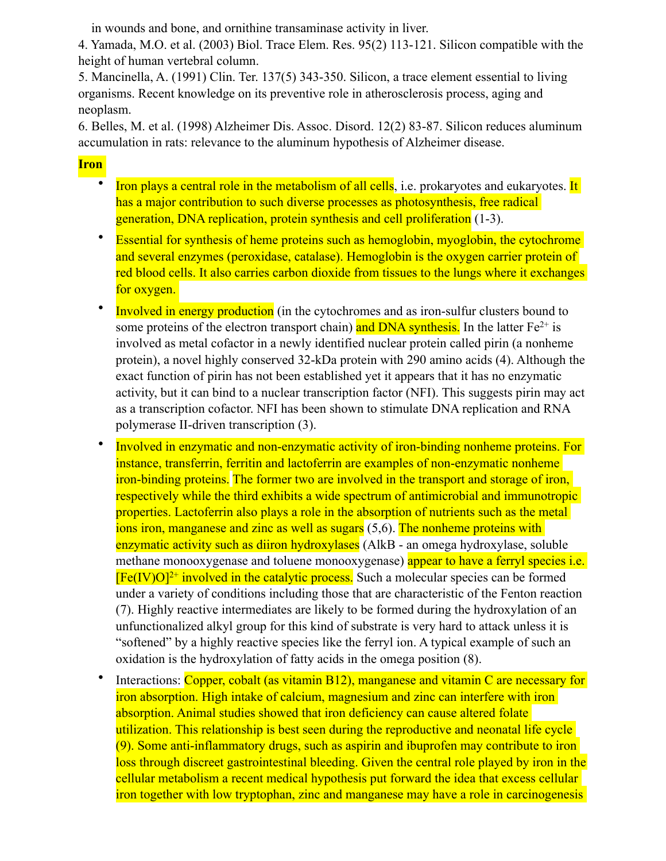in wounds and bone, and ornithine transaminase activity in liver.

4. Yamada, M.O. et al. ([2003\)](http://www.biological-oxidation.com/VitMin/Silicon.htm) Biol. Trace Elem. Res. 95(2) 113-121. Silicon compatible with the height of human vertebral column.

5. Mancinella, A. (1991) Clin. Ter. 137(5) 343-350. Silicon, a trace element essential to living organisms. Recent knowledge on its preventive role in atherosclerosis process, aging and neoplasm.

6. Belles, M. et al. (1998) [Alzheimer](http://www.biological-oxidation.com/VitMin/Silicon.htm) Dis. Assoc. Disord. 12(2) 83-87. Silicon reduces aluminum accumulation in rats: relevance to the aluminum hypothesis of Alzheimer [disease](http://www.biological-oxidation.com/VitMin/Silicon.htm).

### **Iron**

- Iron plays a central role in the metabolism of all cells, i.e. prokaryotes and eukaryotes. It has a major contribution to such diverse processes as photosynthesis, free radical generation, DNA replication, protein synthesis and cell proliferation (1[-3](http://www.jbc.org/cgi/content/full/279/2/1491)).
- Essential for synthesis of heme proteins such as hemoglobin, myoglobin, the cytochrome and several enzymes (peroxidase, catalase). Hemoglobin is the oxygen carrier protein of red blood cells. It also carries carbon dioxide from tissues to the lungs where it exchanges for oxygen.
- Involved in energy production (in the cytochromes and as iron-sulfur clusters bound to some proteins of the electron transport chain) and DNA synthesis. In the latter  $Fe^{2+}$  is involved as metal cofactor in a newly identified nuclear protein called pirin (a nonheme protein), a novel highly conserved 32-kDa protein with 290 amino acids (4). Although the exact function of pirin has not been established yet it appears that it has no enzymatic activity, but it can bind to a nuclear transcription factor (NFI). This suggests pirin may act as a transcription cofactor. NFI has been shown to stimulate DNA replication and RNA polymerase II-driven transcription (3).
- Involved in enzymatic and non-enzymatic activity of iron-binding nonheme proteins. For instance, transferrin, ferritin and lactoferrin are examples of non-enzymatic nonheme iron-binding proteins. The former two are involved in the transport and storage of iron, respectively while the third exhibits a wide spectrum of antimicrobial and immunotropic properties. Lactoferrin also plays a role in the absorption of nutrients such as the metal ions iron, manganese and zinc as well as sugars (5,6). The nonheme proteins with enzymatic activity such as diiron hydroxylases (AlkB - an omega hydroxylase, soluble methane monooxygenase and toluene monooxygenase) appear to have a ferryl species i.e.  $[Fe(IV)O]<sup>2+</sup>$  involved in the catalytic process. Such a molecular species can be formed under a variety of conditions including those that are characteristic of the Fenton reaction (7). Highly reactive intermediates are likely to be formed during the hydroxylation of an unfunctionalized alkyl group for this kind of substrate is very hard to attack unless it is "softened" by a highly reactive species like the ferryl ion. A typical example of such an oxidation is the hydroxylation of fatty acids in the omega position (8).
- Interactions: Copper, cobalt (as vitamin B12), manganese and vitamin C are necessary for iron absorption. High intake of calcium, magnesium and zinc can interfere with iron absorption. Animal studies showed that iron deficiency can cause altered folate utilization. This relationship is best seen during the reproductive and neonatal life cycle (9). Some anti-inflammatory drugs, such as aspirin and ibuprofen may contribute to iron loss through discreet gastrointestinal bleeding. Given the central role played by iron in the cellular metabolism a recent medical hypothesis put forward the idea that excess cellular iron together with low tryptophan, zinc and manganese may have a role in carcinogenesis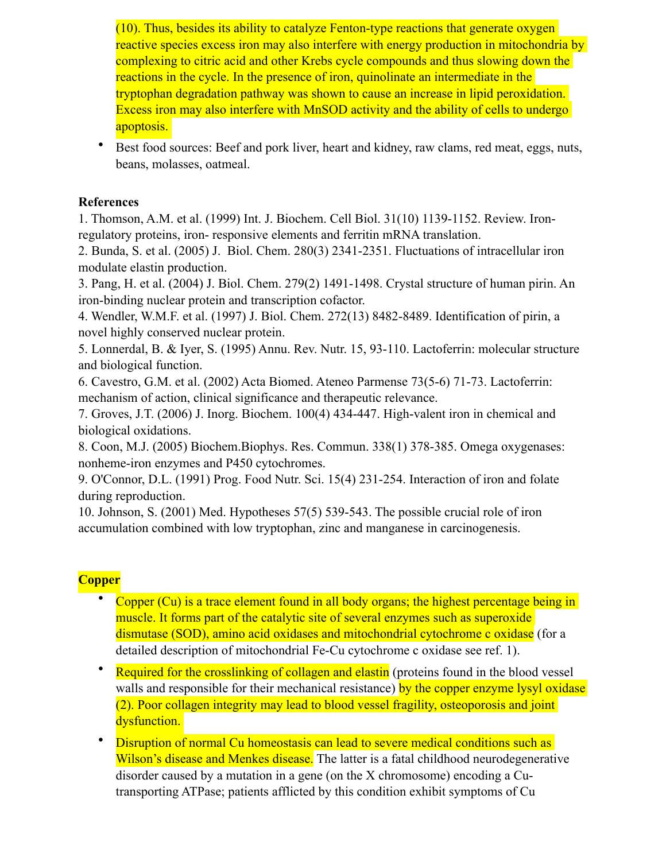(10). Thus, besides its ability to catalyze Fenton-type reactions that generate oxygen reactive species excess iron may also interfere with energy production in mitochondria by complexing to citric acid and other Krebs cycle compounds and thus slowing down the reactions in the cycle. In the presence of iron, quinolinate an intermediate in the tryptophan degradation pathway was shown to cause an increase in lipid peroxidation. Excess iron may also interfere with MnSOD activity and the ability of cells to undergo apoptosis.

• Best food sources: Beef and pork liver, heart and kidney, raw clams, red meat, eggs, nuts, beans, molasses, oatmeal.

### **References**

1. Thomson, A.M. et al. (1999) Int. J. Biochem. Cell Biol. 31(10) 1139-1152. Review. Ironregulatory proteins, iron- responsive elements and ferritin mRNA translation.

2. Bunda, S. et al. (2005) J. Biol. Chem. 280(3) 2341-2351. Fluctuations of intracellular iron modulate elastin production.

3. Pang, H. et al. (2004) J. Biol. Chem. 279(2) 1491-1498. Crystal structure of human pirin. An iron-binding nuclear protein and transcription cofactor.

4. Wendler, W.M.F. et al. (1997) J. Biol. Chem. 272(13) 8482-8489. Identification of pirin, a novel highly conserved nuclear protein.

5. Lonnerdal, B. & Iyer, S. (1995) Annu. Rev. Nutr. 15, 93-110. Lactoferrin: molecular structure and biological function.

6. Cavestro, G.M. et al. (2002) Acta Biomed. Ateneo Parmense 73(5-6) 71-73. Lactoferrin: mechanism of action, clinical significance and therapeutic relevance.

7. Groves, J.T. (2006) J. Inorg. Biochem. 100(4) 434-447. High-valent iron in chemical and biological oxidations.

8. Coon, M.J. (2005) Biochem.Biophys. Res. Commun. 338(1) 378-385. Omega oxygenases: nonheme-iron enzymes and P450 cytochromes.

9. O'Connor, D.L. (1991) Prog. Food Nutr. Sci. 15(4) 231-254. Interaction of iron and folate during reproduction.

10. Johnson, S. (2001) Med. Hypotheses 57(5) 539-543. The possible crucial role of iron accumulation combined with low tryptophan, zinc and manganese in carcinogenesis.

# **Copper**

- Copper (Cu) is a trace element found in all body organs; the highest percentage being in muscle. It forms part of the catalytic site of several enzymes such as superoxide dismutase (SOD), amino acid oxidases and mitochondrial cytochrome c oxidase (for a detailed description of mitochondrial Fe-Cu cytochrome c oxidase see ref. 1).
- **Required for the crosslinking of collagen and elastin** (proteins found in the blood vessel walls and responsible for their mechanical resistance) by the copper enzyme lysyl oxidase (2). Poor collagen integrity may lead to blood vessel fragility, osteoporosis and joint dysfunction.
- Disruption of normal Cu homeostasis can lead to severe medical conditions such as Wilson's disease and Menkes disease. The latter is a fatal childhood neurodegenerative disorder caused by a mutation in a gene (on the X chromosome) encoding a Cutransporting ATPase; patients afflicted by this condition exhibit symptoms of Cu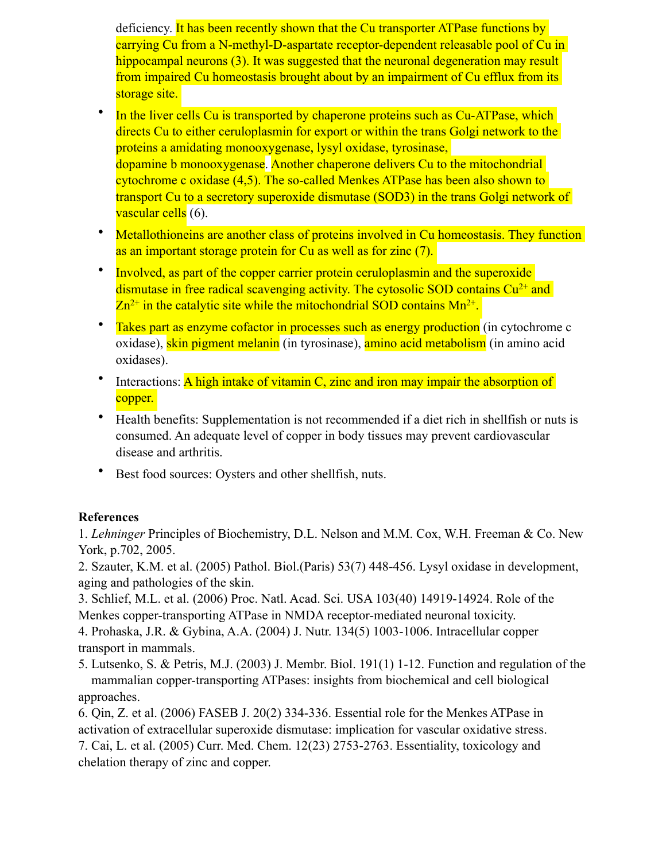deficiency. It has been recently shown that the Cu transporter ATPase functions by carrying Cu from a N-methyl-D-aspartate receptor-dependent releasable pool of Cu in hippocampal neurons (3). It was suggested that the neuronal degeneration may result from impaired Cu homeostasis brought about by an impairment of Cu efflux from its storage site.

- In the liver cells Cu is transported by chaperone proteins such as Cu-ATPase, which directs Cu to either ceruloplasmin for export or within the trans Golgi network to the proteins a amidating monooxygenase, lysyl oxidase, tyrosinase, dopamine b monooxygenase. Another chaperone delivers Cu to the mitochondrial cytochrome c oxidase (4,5). The so-called Menkes ATPase has been also shown to transport Cu to a secretory superoxide dismutase (SOD3) in the trans Golgi network of vascular cells (6).
- Metallothioneins are another class of proteins involved in Cu homeostasis. They function as an important storage protein for Cu as well as for zinc (7).
- Involved, as part of the copper carrier protein ceruloplasmin and the superoxide dismutase in free radical scavenging activity. The cytosolic SOD contains  $Cu^{2+}$  and  $Zn^{2+}$  in the catalytic site while the mitochondrial SOD contains  $Mn^{2+}$ .
- Takes part as enzyme cofactor in processes such as energy production (in cytochrome c oxidase), skin pigment melanin (in tyrosinase), amino acid metabolism (in amino acid oxidases).
- Interactions: A high intake of vitamin C, zinc and iron may impair the absorption of copper.
- Health benefits: Supplementation is not recommended if a diet rich in shellfish or nuts is consumed. An adequate level of copper in body tissues may prevent cardiovascular disease and arthritis.
- Best food sources: Oysters and other shellfish, nuts.

## **References**

1. *Lehninger* Principles of Biochemistry, D.L. Nelson and M.M. Cox, W.H. Freeman & Co. New York, p.702, 2005.

2. Szauter, K.M. et al. (2005) Pathol. Biol.(Paris) 53(7) 448-456. Lysyl oxidase in development, aging and pathologies of the skin.

3. Schlief, M.L. et al. (2006) Proc. Natl. Acad. Sci. USA 103(40) 14919-14924. Role of the Menkes copper-transporting ATPase in NMDA receptor-mediated neuronal toxicity.

4. Prohaska, J.R. & Gybina, A.A. (2004) J. Nutr. 134(5) 1003-1006. Intracellular copper transport in mammals.

5. Lutsenko, S. & Petris, M.J. (2003) J. Membr. Biol. 191(1) 1-12. Function and regulation of the mammalian copper-transporting ATPases: insights from biochemical and cell biological approaches.

6. Qin, Z. et al. (2006) FASEB J. 20(2) 334-336. Essential role for the Menkes ATPase in activation of extracellular superoxide dismutase: implication for vascular oxidative stress. 7. Cai, L. et al. (2005) Curr. Med. Chem. 12(23) 2753-2763. Essentiality, toxicology and chelation therapy of zinc and copper.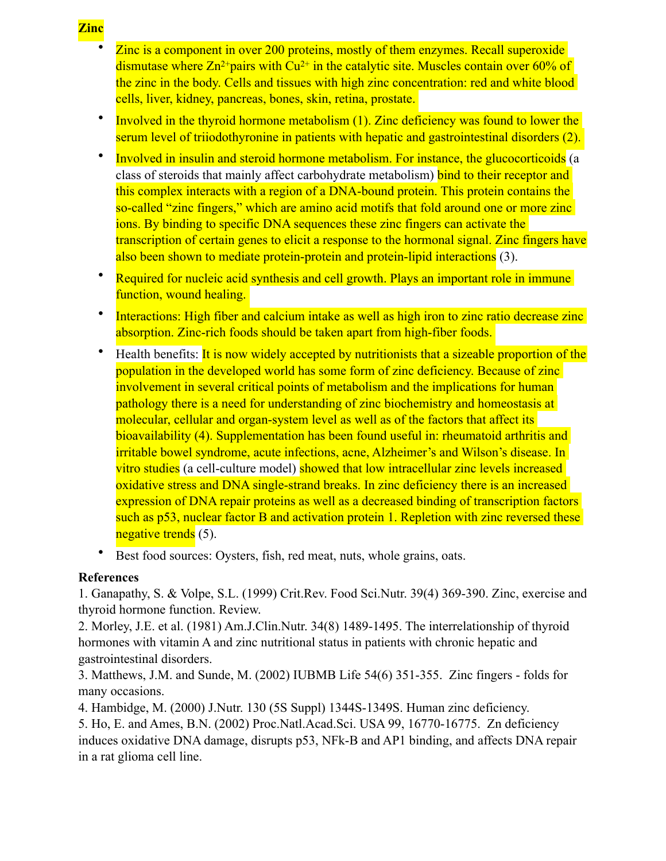- Zinc is a component in over 200 proteins, mostly of them enzymes. Recall superoxide dismutase where  $\text{Zn}^{2+}$ pairs with Cu<sup>2+</sup> in the catalytic site. Muscles contain over 60% of the zinc in the body. Cells and tissues with high zinc concentration: red and white blood cells, liver, kidney, pancreas, bones, skin, retina, prostate.
- Involved in the thyroid hormone metabolism (1). Zinc deficiency was found to lower the serum level of triiodothyronine in patients with hepatic and gastrointestinal disorders (2).
- Involved in insulin and steroid hormone metabolism. For instance, the glucocorticoids (a class of steroids that mainly affect carbohydrate metabolism) bind to their receptor and this complex interacts with a region of a DNA-bound protein. This protein contains the so-called "zinc fingers," which are amino acid motifs that fold around one or more zinc ions. By binding to specific DNA sequences these zinc fingers can activate the transcription of certain genes to elicit a response to the hormonal signal. Zinc fingers have also been shown to mediate protein-protein and protein-lipid interactions (3).
- Required for nucleic acid synthesis and cell growth. Plays an important role in immune function, wound healing.
- Interactions: High fiber and calcium intake as well as high iron to zinc ratio decrease zinc absorption. Zinc-rich foods should be taken apart from high-fiber foods.
- Health benefits: It is now widely accepted by nutritionists that a sizeable proportion of the population in the developed world has some form of zinc deficiency. Because of zinc involvement in several critical points of metabolism and the implications for human pathology there is a need for understanding of zinc biochemistry and homeostasis at molecular, cellular and organ-system level as well as of the factors that affect its bioavailability (4). Supplementation has been found useful in: rheumatoid arthritis and irritable bowel syndrome, acute infections, acne, Alzheimer's and Wilson's disease. In vitro studies (a cell-culture model) showed that low intracellular zinc levels increased oxidative stress and DNA single-strand breaks. In zinc deficiency there is an increased expression of DNA repair proteins as well as a decreased binding of transcription factors such as p53, nuclear factor B and activation protein 1. Repletion with zinc reversed these negative trends (5).
- Best food sources: Oysters, fish, red meat, nuts, whole grains, oats.

### **References**

1. Ganapathy, S. & Volpe, S.L. (1999) Crit.Rev. Food Sci.Nutr. 39(4) 369-390. Zinc, exercise and thyroid hormone function. Review.

2. Morley, J.E. et al. (1981) Am.J.Clin.Nutr. 34(8) 1489-1495. The interrelationship of thyroid hormones with vitamin A and zinc nutritional status in patients with chronic hepatic and gastrointestinal disorders.

3. Matthews, J.M. and Sunde, M. (2002) IUBMB Life 54(6) 351-355. Zinc fingers - folds for many occasions.

4. Hambidge, M. (2000) J.Nutr. 130 (5S Suppl) 1344S-1349S. Human zinc deficiency.

5. Ho, E. and Ames, B.N. (2002) Proc.Natl.Acad.Sci. USA 99, 16770-16775. Zn deficiency induces oxidative DNA damage, disrupts p53, NFk-B and AP1 binding, and affects DNA repair in a rat glioma cell line.

#### **Zinc**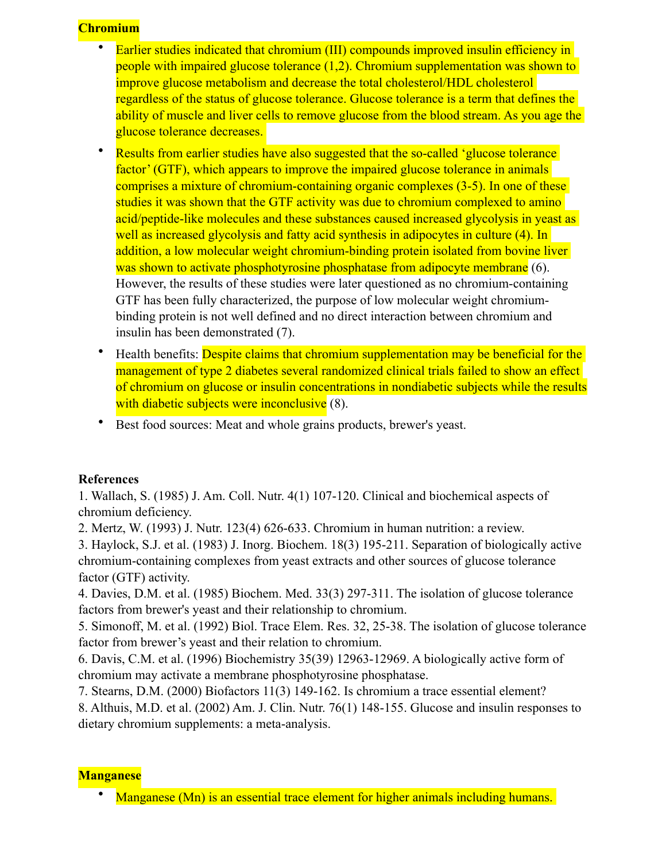# **Chromium**

- Earlier studies indicated that chromium (III) compounds improved insulin efficiency in people with impaired glucose tolerance (1,2). Chromium supplementation was shown to improve glucose metabolism and decrease the total cholesterol/HDL cholesterol regardless of the status of glucose tolerance. Glucose tolerance is a term that defines the ability of muscle and liver cells to remove glucose from the blood stream. As you age the glucose tolerance decreases.
- Results from earlier studies have also suggested that the so-called 'glucose tolerance' factor' (GTF), which appears to improve the impaired glucose tolerance in animals comprises a mixture of chromium-containing organic complexes (3-5). In one of these studies it was shown that the GTF activity was due to chromium complexed to amino acid/peptide-like molecules and these substances caused increased glycolysis in yeast as well as increased glycolysis and fatty acid synthesis in adipocytes in culture (4). In addition, a low molecular weight chromium-binding protein isolated from bovine liver was shown to activate phosphotyrosine phosphatase from adipocyte membrane (6). However, the results of these studies were later questioned as no chromium-containing GTF has been fully characterized, the purpose of low molecular weight chromiumbinding protein is not well defined and no direct interaction between chromium and insulin has been demonstrated (7).
- Health benefits: Despite claims that chromium supplementation may be beneficial for the management of type 2 diabetes several randomized clinical trials failed to show an effect of chromium on glucose or insulin concentrations in nondiabetic subjects while the results with diabetic subjects were inconclusive (8).
- Best food sources: Meat and whole grains products, brewer's yeast.

## **References**

1. Wallach, S. (1985) J. Am. Coll. Nutr. 4(1) 107-120. Clinical and biochemical aspects of chromium deficiency.

2. Mertz, W. (1993) J. Nutr. 123(4) 626-633. Chromium in human nutrition: a review.

3. Haylock, S.J. et al. (1983) J. Inorg. Biochem. 18(3) 195-211. Separation of biologically active chromium-containing complexes from yeast extracts and other sources of glucose tolerance factor (GTF) activity.

4. Davies, D.M. et al. (1985) Biochem. Med. 33(3) 297-311. The isolation of glucose tolerance factors from brewer's yeast and their relationship to chromium.

5. Simonoff, M. et al. (1992) Biol. Trace Elem. Res. 32, 25-38. The isolation of glucose tolerance factor from brewer's yeast and their relation to chromium.

6. Davis, C.M. et al. (1996) Biochemistry 35(39) 12963-12969. A biologically active form of chromium may activate a membrane phosphotyrosine phosphatase.

7. Stearns, D.M. (2000) Biofactors 11(3) 149-162. Is chromium a trace essential element?

8. Althuis, M.D. et al. (2002) Am. J. Clin. Nutr. 76(1) 148-155. Glucose and insulin responses to dietary chromium supplements: a meta-analysis.

## **Manganese**

Manganese (Mn) is an essential trace element for higher animals including humans.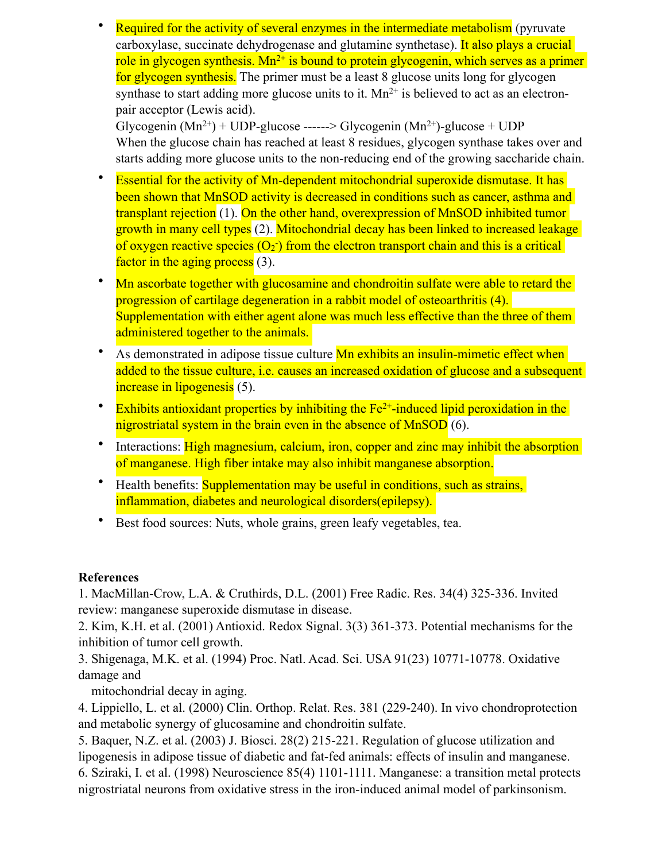**Required for the activity of several enzymes in the intermediate metabolism** (pyruvate carboxylase, succinate dehydrogenase and glutamine synthetase). It also plays a crucial role in glycogen synthesis.  $Mn^{2+}$  is bound to protein glycogenin, which serves as a primer for glycogen synthesis. The primer must be a least 8 glucose units long for glycogen synthase to start adding more glucose units to it.  $Mn^{2+}$  is believed to act as an electronpair acceptor (Lewis acid).

Glycogenin  $(Mn^{2+})$  + UDP-glucose ------> Glycogenin  $(Mn^{2+})$ -glucose + UDP When the glucose chain has reached at least 8 residues, glycogen synthase takes over and starts adding more glucose units to the non-reducing end of the growing saccharide chain.

- Essential for the activity of Mn-dependent mitochondrial superoxide dismutase. It has been shown that MnSOD activity is decreased in conditions such as cancer, asthma and transplant rejection (1). On the other hand, overexpression of MnSOD inhibited tumor growth in many cell types (2). Mitochondrial decay has been linked to increased leakage of oxygen reactive species  $(O_2)$  from the electron transport chain and this is a critical factor in the aging process (3).
- Mn ascorbate together with glucosamine and chondroitin sulfate were able to retard the progression of cartilage degeneration in a rabbit model of osteoarthritis (4). Supplementation with either agent alone was much less effective than the three of them administered together to the animals.
- As demonstrated in adipose tissue culture **Mn exhibits an insulin-mimetic effect when** added to the tissue culture, i.e. causes an increased oxidation of glucose and a subsequent increase in lipogenesis (5).
- Exhibits antioxidant properties by inhibiting the  $Fe<sup>2+</sup>$ -induced lipid peroxidation in the nigrostriatal system in the brain even in the absence of MnSOD (6).
- Interactions: High magnesium, calcium, iron, copper and zinc may inhibit the absorption of manganese. High fiber intake may also inhibit manganese absorption.
- Health benefits: **Supplementation may be useful in conditions**, such as strains, inflammation, diabetes and neurological disorders(epilepsy).
- Best food sources: Nuts, whole grains, green leafy vegetables, tea.

## **References**

1. MacMillan-Crow, L.A. & Cruthirds, D.L. (2001) Free Radic. Res. 34(4) 325-336. Invited review: manganese superoxide dismutase in disease.

2. Kim, K.H. et al. (2001) Antioxid. Redox Signal. 3(3) 361-373. Potential mechanisms for the inhibition of tumor cell growth.

3. Shigenaga, M.K. et al. (1994) Proc. Natl. Acad. Sci. USA 91(23) 10771-10778. Oxidative damage and

mitochondrial decay in aging.

4. Lippiello, L. et al. (2000) Clin. Orthop. Relat. Res. 381 (229-240). In vivo chondroprotection and metabolic synergy of glucosamine and chondroitin sulfate.

5. Baquer, N.Z. et al. (2003) J. Biosci. 28(2) 215-221. Regulation of glucose utilization and lipogenesis in adipose tissue of diabetic and fat-fed animals: effects of insulin and manganese. 6. Sziraki, I. et al. (1998) Neuroscience 85(4) 1101-1111. Manganese: a transition metal protects nigrostriatal neurons from oxidative stress in the iron-induced animal model of parkinsonism.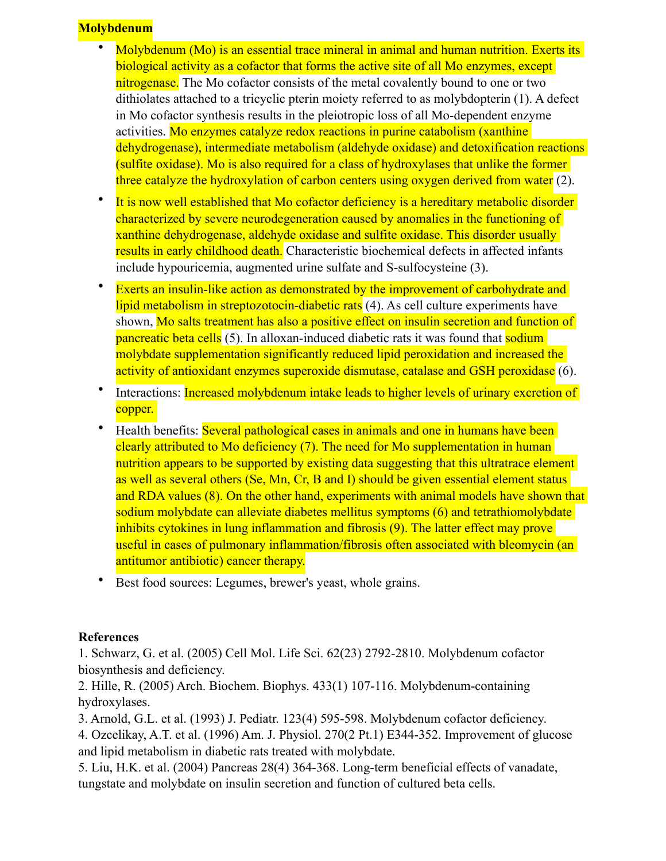### **Molybdenum**

- Molybdenum (Mo) is an essential trace mineral in animal and human nutrition. Exerts its biological activity as a cofactor that forms the active site of all Mo enzymes, except nitrogenase. The Mo cofactor consists of the metal covalently bound to one or two dithiolates attached to a tricyclic pterin moiety referred to as molybdopterin (1). A defect in Mo cofactor synthesis results in the pleiotropic loss of all Mo-dependent enzyme activities. Mo enzymes catalyze redox reactions in purine catabolism (xanthine dehydrogenase), intermediate metabolism (aldehyde oxidase) and detoxification reactions (sulfite oxidase). Mo is also required for a class of hydroxylases that unlike the former three catalyze the hydroxylation of carbon centers using oxygen derived from water (2).
- It is now well established that Mo cofactor deficiency is a hereditary metabolic disorder characterized by severe neurodegeneration caused by anomalies in the functioning of xanthine dehydrogenase, aldehyde oxidase and sulfite oxidase. This disorder usually results in early childhood death. Characteristic biochemical defects in affected infants include hypouricemia, augmented urine sulfate and S-sulfocysteine (3).
- Exerts an insulin-like action as demonstrated by the improvement of carbohydrate and lipid metabolism in streptozotocin-diabetic rats (4). As cell culture experiments have shown, Mo salts treatment has also a positive effect on insulin secretion and function of pancreatic beta cells (5). In alloxan-induced diabetic rats it was found that sodium molybdate supplementation significantly reduced lipid peroxidation and increased the activity of antioxidant enzymes superoxide dismutase, catalase and GSH peroxidase (6).
- Interactions: Increased molybdenum intake leads to higher levels of urinary excretion of copper.
- Health benefits: Several pathological cases in animals and one in humans have been clearly attributed to Mo deficiency (7). The need for Mo supplementation in human nutrition appears to be supported by existing data suggesting that this ultratrace element as well as several others (Se, Mn, Cr, B and I) should be given essential element status and RDA values (8). On the other hand, experiments with animal models have shown that sodium molybdate can alleviate diabetes mellitus symptoms (6) and tetrathiomolybdate inhibits cytokines in lung inflammation and fibrosis (9). The latter effect may prove useful in cases of pulmonary inflammation/fibrosis often associated with bleomycin (an antitumor antibiotic) cancer therapy.
- Best food sources: Legumes, brewer's yeast, whole grains.

## **References**

1. Schwarz, G. et al. (2005) Cell Mol. Life Sci. 62(23) 2792-2810. Molybdenum cofactor biosynthesis and deficiency.

2. Hille, R. (2005) Arch. Biochem. Biophys. 433(1) 107-116. Molybdenum-containing hydroxylases.

3. Arnold, G.L. et al. (1993) J. Pediatr. 123(4) 595-598. Molybdenum cofactor deficiency.

4. Ozcelikay, A.T. et al. (1996) Am. J. Physiol. 270(2 Pt.1) E344-352. Improvement of glucose and lipid metabolism in diabetic rats treated with molybdate.

5. Liu, H.K. et al. (2004) Pancreas 28(4) 364-368. Long-term beneficial effects of vanadate, tungstate and molybdate on insulin secretion and function of cultured beta cells.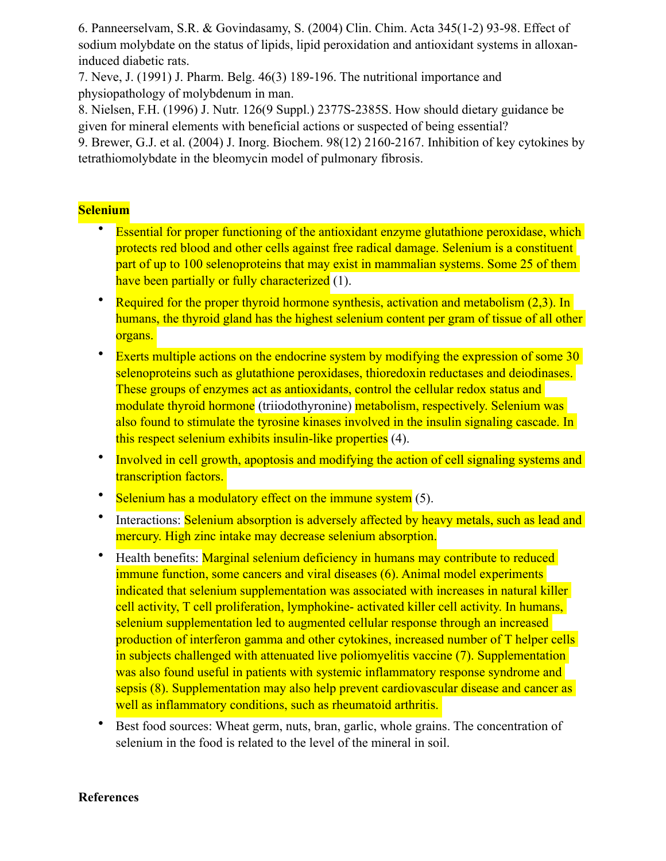6. Panneerselvam, S.R. & Govindasamy, S. (2004) Clin. Chim. Acta 345(1-2) 93-98. Effect of sodium molybdate on the status of lipids, lipid peroxidation and antioxidant systems in alloxaninduced diabetic rats.

7. Neve, J. (1991) J. Pharm. Belg. 46(3) 189-196. The nutritional importance and physiopathology of molybdenum in man.

8. Nielsen, F.H. (1996) J. Nutr. 126(9 Suppl.) 2377S-2385S. How should dietary guidance be given for mineral elements with beneficial actions or suspected of being essential? 9. Brewer, G.J. et al. (2004) J. Inorg. Biochem. 98(12) 2160-2167. Inhibition of key cytokines by tetrathiomolybdate in the bleomycin model of pulmonary fibrosis.

# **Selenium**

- Essential for proper functioning of the antioxidant enzyme glutathione peroxidase, which protects red blood and other cells against free radical damage. Selenium is a constituent part of up to 100 selenoproteins that may exist in mammalian systems. Some 25 of them have been partially or fully characterized (1).
- Required for the proper thyroid hormone synthesis, activation and metabolism (2,3). In humans, the thyroid gland has the highest selenium content per gram of tissue of all other organs.
- Exerts multiple actions on the endocrine system by modifying the expression of some 30 selenoproteins such as glutathione peroxidases, thioredoxin reductases and deiodinases. These groups of enzymes act as antioxidants, control the cellular redox status and modulate thyroid hormone (triiodothyronine) metabolism, respectively. Selenium was also found to stimulate the tyrosine kinases involved in the insulin signaling cascade. In this respect selenium exhibits insulin-like properties (4).
- Involved in cell growth, apoptosis and modifying the action of cell signaling systems and transcription factors.
- Selenium has a modulatory effect on the immune system (5).
- Interactions: Selenium absorption is adversely affected by heavy metals, such as lead and mercury. High zinc intake may decrease selenium absorption.
- Health benefits: Marginal selenium deficiency in humans may contribute to reduced immune function, some cancers and viral diseases (6). Animal model experiments indicated that selenium supplementation was associated with increases in natural killer cell activity, T cell proliferation, lymphokine- activated killer cell activity. In humans, selenium supplementation led to augmented cellular response through an increased production of interferon gamma and other cytokines, increased number of T helper cells in subjects challenged with attenuated live poliomyelitis vaccine (7). Supplementation was also found useful in patients with systemic inflammatory response syndrome and sepsis (8). Supplementation may also help prevent cardiovascular disease and cancer as well as inflammatory conditions, such as rheumatoid arthritis.
- Best food sources: Wheat germ, nuts, bran, garlic, whole grains. The concentration of selenium in the food is related to the level of the mineral in soil.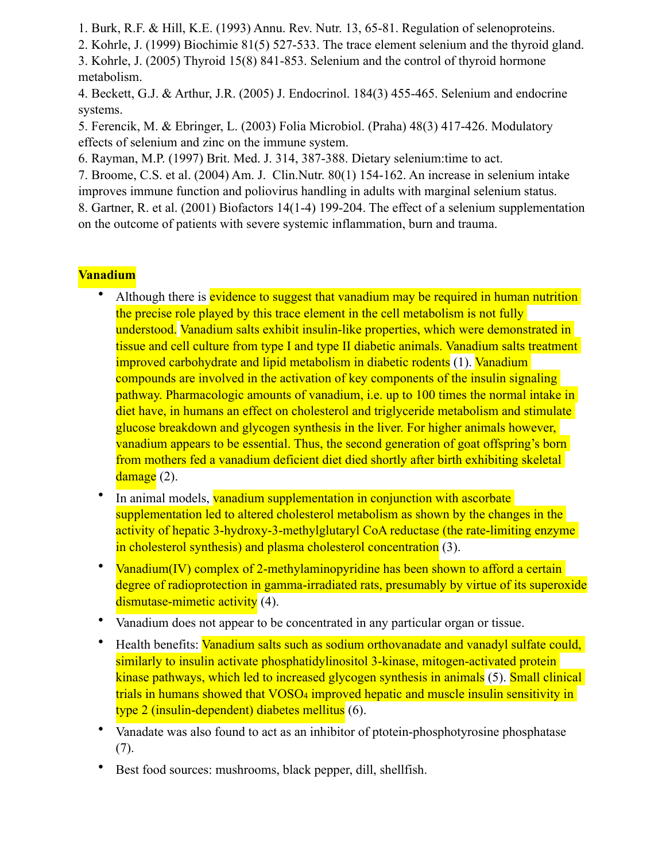1. Burk, R.F. & Hill, K.E. (1993) Annu. Rev. Nutr. 13, 65-81. Regulation of selenoproteins.

2. Kohrle, J. (1999) Biochimie 81(5) 527-533. The trace element selenium and the thyroid gland.

3. Kohrle, J. (2005) Thyroid 15(8) 841-853. Selenium and the control of thyroid hormone metabolism.

4. Beckett, G.J. & Arthur, J.R. (2005) J. Endocrinol. 184(3) 455-465. Selenium and endocrine systems.

5. Ferencik, M. & Ebringer, L. (2003) Folia Microbiol. (Praha) 48(3) 417-426. Modulatory effects of selenium and zinc on the immune system.

6. Rayman, M.P. (1997) Brit. Med. J. 314, 387-388. Dietary selenium:time to act.

7. Broome, C.S. et al. (2004) Am. J. Clin.Nutr. 80(1) 154-162. An increase in selenium intake

improves immune function and poliovirus handling in adults with marginal selenium status.

8. Gartner, R. et al. (2001) Biofactors 14(1-4) 199-204. The effect of a selenium supplementation on the outcome of patients with severe systemic inflammation, burn and trauma.

# **Vanadium**

- Although there is evidence to suggest that vanadium may be required in human nutrition the precise role played by this trace element in the cell metabolism is not fully understood. Vanadium salts exhibit insulin-like properties, which were demonstrated in tissue and cell culture from type I and type II diabetic animals. Vanadium salts treatment improved carbohydrate and lipid metabolism in diabetic rodents (1). Vanadium compounds are involved in the activation of key components of the insulin signaling pathway. Pharmacologic amounts of vanadium, i.e. up to 100 times the normal intake in diet have, in humans an effect on cholesterol and triglyceride metabolism and stimulate glucose breakdown and glycogen synthesis in the liver. For higher animals however, vanadium appears to be essential. Thus, the second generation of goat offspring's born from mothers fed a vanadium deficient diet died shortly after birth exhibiting skeletal  $\frac{ \text{ damage}}{2}$ .
- In animal models, vanadium supplementation in conjunction with ascorbate supplementation led to altered cholesterol metabolism as shown by the changes in the activity of hepatic 3-hydroxy-3-methylglutaryl CoA reductase (the rate-limiting enzyme in cholesterol synthesis) and plasma cholesterol concentration (3).
- Vanadium(IV) complex of 2-methylaminopyridine has been shown to afford a certain degree of radioprotection in gamma-irradiated rats, presumably by virtue of its superoxide dismutase-mimetic activity (4).
- Vanadium does not appear to be concentrated in any particular organ or tissue.
- Health benefits: Vanadium salts such as sodium orthovanadate and vanadyl sulfate could, similarly to insulin activate phosphatidylinositol 3-kinase, mitogen-activated protein kinase pathways, which led to increased glycogen synthesis in animals (5). Small clinical trials in humans showed that VOSO<sub>4</sub> improved hepatic and muscle insulin sensitivity in type 2 (insulin-dependent) diabetes mellitus (6).
- Vanadate was also found to act as an inhibitor of ptotein-phosphotyrosine phosphatase (7).
- Best food sources: mushrooms, black pepper, dill, shellfish.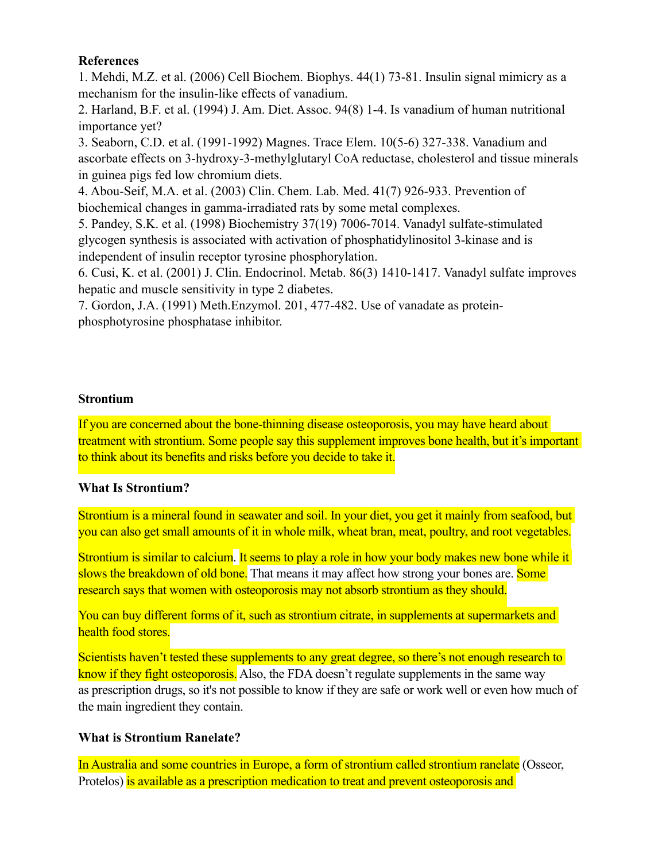### **References**

1. Mehdi, M.Z. et al. (2006) Cell Biochem. Biophys. 44(1) 73-81. Insulin signal mimicry as a mechanism for the insulin-like effects of vanadium.

2. Harland, B.F. et al. (1994) J. Am. Diet. Assoc. 94(8) 1-4. Is vanadium of human nutritional importance yet?

3. Seaborn, C.D. et al. (1991-1992) Magnes. Trace Elem. 10(5-6) 327-338. Vanadium and ascorbate effects on 3-hydroxy-3-methylglutaryl CoA reductase, cholesterol and tissue minerals in guinea pigs fed low chromium diets.

4. Abou-Seif, M.A. et al. (2003) Clin. Chem. Lab. Med. 41(7) 926-933. Prevention of biochemical changes in gamma-irradiated rats by some metal complexes.

5. Pandey, S.K. et al. (1998) Biochemistry 37(19) 7006-7014. Vanadyl sulfate-stimulated glycogen synthesis is associated with activation of phosphatidylinositol 3-kinase and is independent of insulin receptor tyrosine phosphorylation.

6. Cusi, K. et al. (2001) J. Clin. Endocrinol. Metab. 86(3) 1410-1417. Vanadyl sulfate improves hepatic and muscle sensitivity in type 2 diabetes.

7. Gordon, J.A. (1991) Meth.Enzymol. 201, 477-482. Use of vanadate as proteinphosphotyrosine phosphatase inhibitor.

### **Strontium**

If you are concerned about the bone-thinning disease osteoporosis, you may have heard about treatment with strontium. Some people say this [supplement](https://www.webmd.com/osteoporosis/guide/strontium-treatment-osteoporosis) improves bone health, but it's important to think about its benefits and risks before you decide to take it.

### **What Is Strontium?**

Strontium is a mineral found in seawater and soil. In your [diet](https://www.webmd.com/diet/default.htm), you get it mainly from seafood, but you can also get small amounts of it in whole milk, wheat bran, meat, poultry, and root [vegetables.](https://www.webmd.com/osteoporosis/guide/strontium-treatment-osteoporosis)

Strontium is similar to [calcium.](https://www.webmd.com/drugs/2/drug-1575/calcium+oral/details) It seems to play a role in how your body makes new bone while it slows the breakdown of old bone. That means it may affect how strong your bones are. Some research says that women with osteoporosis may not absorb strontium as they should.

You can buy different forms of it, such as strontium citrate, in [supplements](https://www.webmd.com/vitamins-and-supplements/lifestyle-guide-11/default.htm) at supermarkets and health food stores.

Scientists haven't tested these supplements to any great degree, so there's not enough research to know if they fight osteoporosis. Also, the FDA doesn't regulate [supplements](https://www.webmd.com/osteoporosis/guide/strontium-treatment-osteoporosis) in the same way as [prescription drugs,](https://www.webmd.com/drugs/index-drugs.aspx) so it's not possible to know if they are safe or work well or even how much of the main ingredient they contain.

## **What is Strontium Ranelate?**

In Australia and some countries in Europe, a form of strontium called strontium ranelate (Osseor, Protelos) is available as a prescription medication to treat and prevent osteoporosis and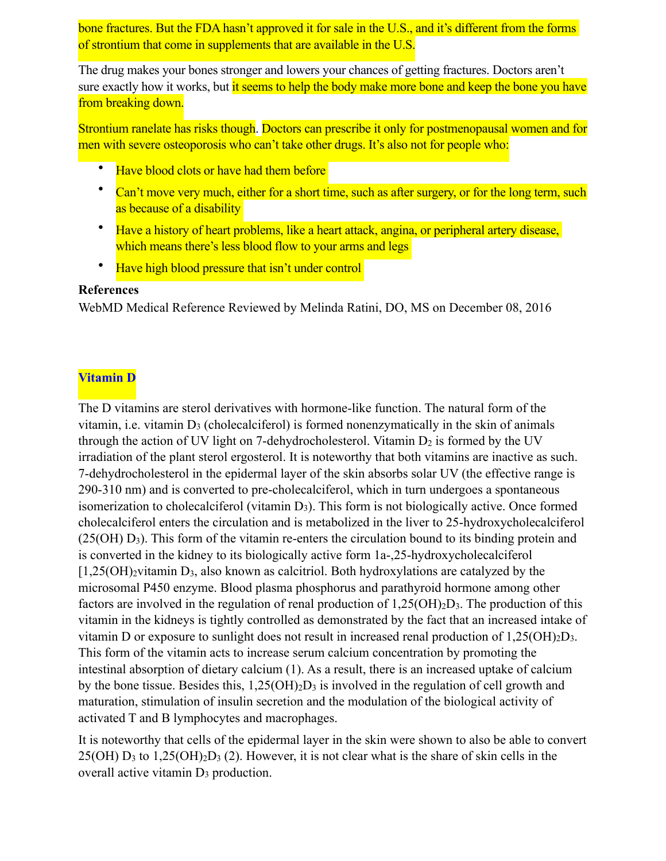bone [fractures.](https://www.webmd.com/a-to-z-guides/understanding-fractures-basic-information) But the FDA hasn't approved it for sale in the U.S., and it's different from the forms of strontium that come in supplements that are available in the U.S.

The drug makes your bones stronger and lowers your chances of getting fractures. Doctors aren't sure exactly how it works, but it seems to help the body make more bone and keep the bone you have from breaking down.

Strontium ranelate has risks though. Doctors can prescribe it only for postmenopausal women and for men with severe osteoporosis who can't take other drugs. It's also not for people who:

- Have [blood clots](https://www.webmd.com/dvt/blood-clots) or have had them before
- Can't move very much, either for a short time, such as after surgery, or for the long term, such as because of a disability
- Have a history of [heart](https://www.webmd.com/heart/picture-of-the-heart) problems, like a [heart attack,](https://www.webmd.com/heart-disease/guide/heart-disease-heart-attacks) [angina](https://www.webmd.com/heart-disease/heart-disease-angina), or [peripheral artery disease](https://www.webmd.com/heart-disease/peripheral-artery-disease-of-the-legs), which means there's less [blood](https://www.webmd.com/heart/anatomy-picture-of-blood) flow to your arms and legs
- Have [high blood pressure](https://www.webmd.com/hypertension-high-blood-pressure/default.htm) that isn't under control

#### **References**

WebMD Medical Reference Reviewed by [Melinda Ratini, DO, MS](https://www.webmd.com/melinda-ratini) on December 08, 2016

#### **Vitamin D**

The D vitamins are sterol derivatives with hormone-like function. The natural form of the vitamin, i.e. vitamin  $D_3$  (cholecalciferol) is formed nonenzymatically in the skin of animals through the action of UV light on 7-dehydrocholesterol. Vitamin  $D_2$  is formed by the UV irradiation of the plant sterol ergosterol. It is noteworthy that both vitamins are inactive as such. 7-dehydrocholesterol in the epidermal layer of the skin absorbs solar UV (the effective range is 290-310 nm) and is converted to pre-cholecalciferol, which in turn undergoes a spontaneous isomerization to cholecalciferol (vitamin D<sub>3</sub>). This form is not biologically active. Once formed cholecalciferol enters the circulation and is metabolized in the liver to 25-hydroxycholecalciferol (25(OH) D3). This form of the vitamin re-enters the circulation bound to its binding protein and is converted in the kidney to its biologically active form 1a-,25-hydroxycholecalciferol  $[1,25(OH)_2$ vitamin D<sub>3</sub>, also known as calcitriol. Both hydroxylations are catalyzed by the microsomal P450 enzyme. Blood plasma phosphorus and parathyroid hormone among other factors are involved in the regulation of renal production of 1,25(OH)2D3. The production of this vitamin in the kidneys is tightly controlled as demonstrated by the fact that an increased intake of vitamin D or exposure to sunlight does not result in increased renal production of 1,25(OH)2D3. This form of the vitamin acts to increase serum calcium concentration by promoting the intestinal absorption of dietary calcium (1). As a result, there is an increased uptake of calcium by the bone tissue. Besides this,  $1,25(OH)_2D_3$  is involved in the regulation of cell growth and maturation, stimulation of insulin secretion and the modulation of the biological activity of activated T and B lymphocytes and macrophages.

It is noteworthy that cells of the epidermal layer in the skin were shown to also be able to convert  $25(OH) D_3$  to  $1,25(OH)_2D_3$  (2). However, it is not clear what is the share of skin cells in the overall active vitamin D3 production.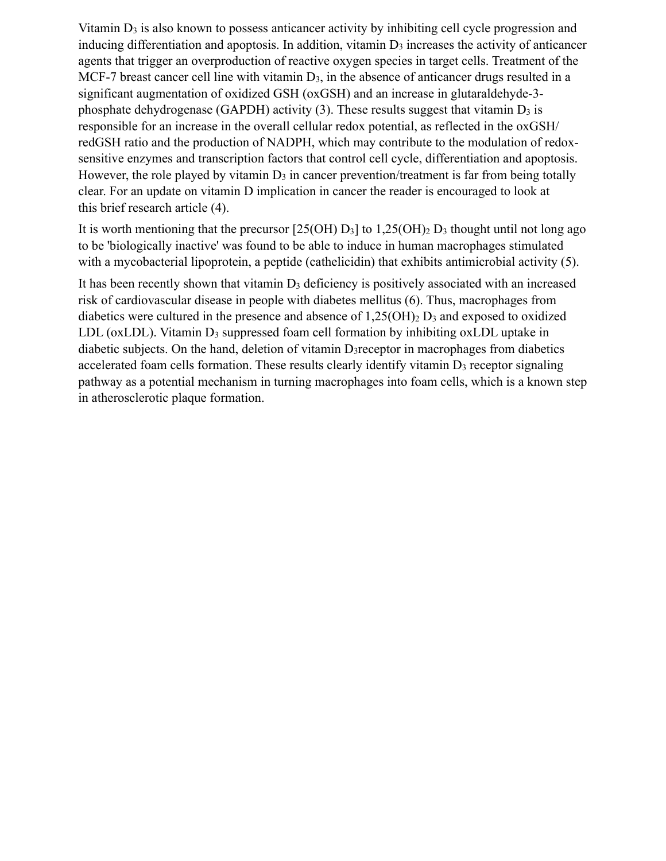Vitamin  $D_3$  is also known to possess anticancer activity by inhibiting cell cycle progression and inducing differentiation and apoptosis. In addition, vitamin  $D_3$  increases the activity of anticancer agents that trigger an overproduction of reactive oxygen species in target cells. Treatment of the MCF-7 breast cancer cell line with vitamin  $D_3$ , in the absence of anticancer drugs resulted in a significant augmentation of oxidized GSH (oxGSH) and an increase in glutaraldehyde-3 phosphate dehydrogenase (GAPDH) activity  $(3)$ . These results suggest that vitamin  $D_3$  is responsible for an increase in the overall cellular redox potential, as reflected in the oxGSH/ redGSH ratio and the production of NADPH, which may contribute to the modulation of redoxsensitive enzymes and transcription factors that control cell cycle, differentiation and apoptosis. However, the role played by vitamin  $D_3$  in cancer prevention/treatment is far from being totally clear. For an update on vitamin D implication in cancer the reader is encouraged to look at this [brief research article \(4\).](http://www.ajcn.org/cgi/content/full/88/2/565S)

It is worth mentioning that the precursor  $[25(OH) D<sub>3</sub>]$  to  $1,25(OH)<sub>2</sub> D<sub>3</sub>$  thought until not long ago to be 'biologically inactive' was found to be able to induce in human macrophages stimulated with a mycobacterial lipoprotein, a peptide (cathelicidin) that exhibits antimicrobial activity (5).

It has been recently shown that vitamin  $D_3$  deficiency is positively associated with an increased risk of cardiovascular disease in people with diabetes mellitus (6). Thus, macrophages from diabetics were cultured in the presence and absence of  $1,25(OH)<sub>2</sub> D<sub>3</sub>$  and exposed to oxidized LDL ( $oxLDL$ ). Vitamin  $D_3$  suppressed foam cell formation by inhibiting  $oxLDL$  uptake in diabetic subjects. On the hand, deletion of vitamin D<sub>3</sub>receptor in macrophages from diabetics accelerated foam cells formation. These results clearly identify vitamin  $D_3$  receptor signaling pathway as a potential mechanism in turning macrophages into foam cells, which is a known step in atherosclerotic plaque formation.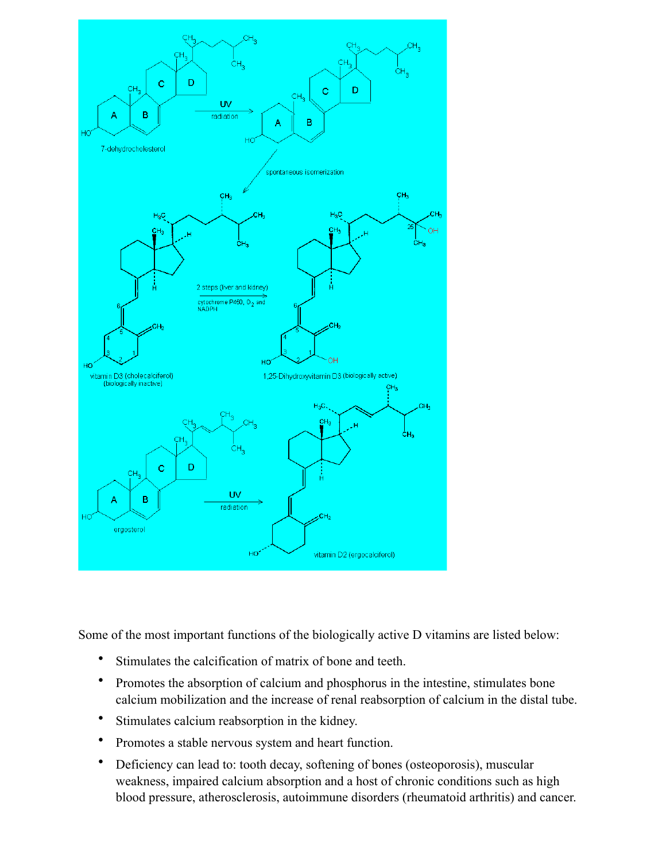

Some of the most important functions of the biologically active D vitamins are listed below:

- Stimulates the calcification of matrix of bone and teeth.
- Promotes the absorption of calcium and phosphorus in the intestine, stimulates bone calcium mobilization and the increase of renal reabsorption of calcium in the distal tube.
- Stimulates calcium reabsorption in the kidney.
- Promotes a stable nervous system and heart function.
- Deficiency can lead to: tooth decay, softening of bones (osteoporosis), muscular weakness, impaired calcium absorption and a host of chronic conditions such as high blood pressure, atherosclerosis, autoimmune disorders (rheumatoid arthritis) and cancer.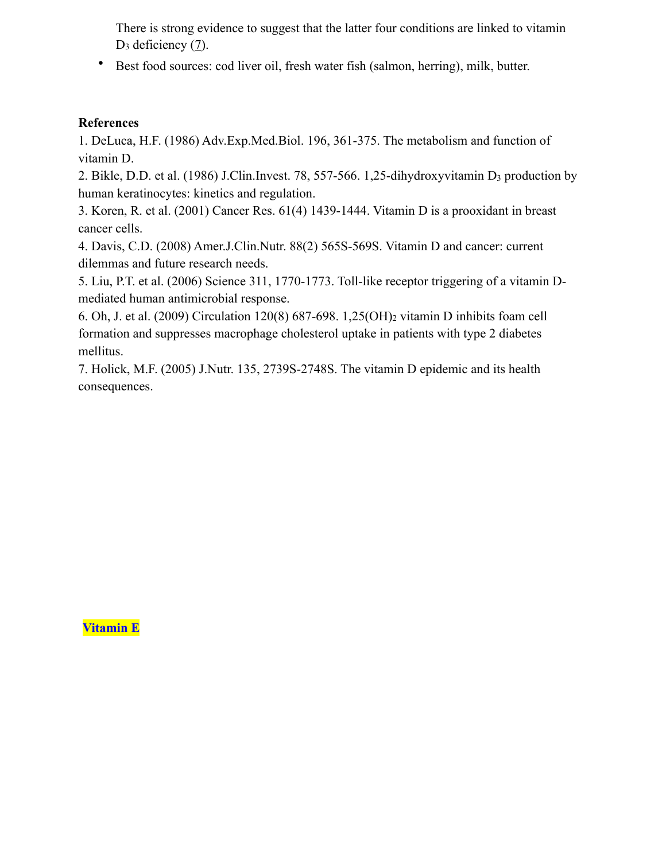There is strong evidence to suggest that the latter four conditions are linked to vitamin D<sub>3</sub> deficiency [\(7](http://jn.nutrition.org/content/full/135/11/2739S)).

• Best food sources: cod liver oil, fresh water fish (salmon, herring), milk, butter.

#### **References**

1. DeLuca, H.F. (1986) Adv.Exp.Med.Biol. 196, 361-375. The metabolism and function of vitamin D.

2. Bikle, D.D. et al. (1986) J.Clin.Invest. 78, 557-566. 1,25-dihydroxyvitamin D3 production by human keratinocytes: kinetics and regulation.

3. Koren, R. et al. (2001) Cancer Res. 61(4) 1439-1444. Vitamin D is a prooxidant in breast cancer cells.

4. Davis, C.D. (2008) Amer.J.Clin.Nutr. 88(2) 565S-569S. Vitamin D and cancer: current dilemmas and future research needs.

5. Liu, P.T. et al. (2006) Science 311, 1770-1773. Toll-like receptor triggering of a vitamin Dmediated human antimicrobial response.

6. Oh, J. et al. (2009) Circulation 120(8) 687-698. 1,25(OH)2 vitamin D inhibits foam cell formation and suppresses macrophage cholesterol uptake in patients with type 2 diabetes mellitus.

7. Holick, M.F. (2005) J.Nutr. 135, 2739S-2748S. The vitamin D epidemic and its health consequences.

**Vitamin E**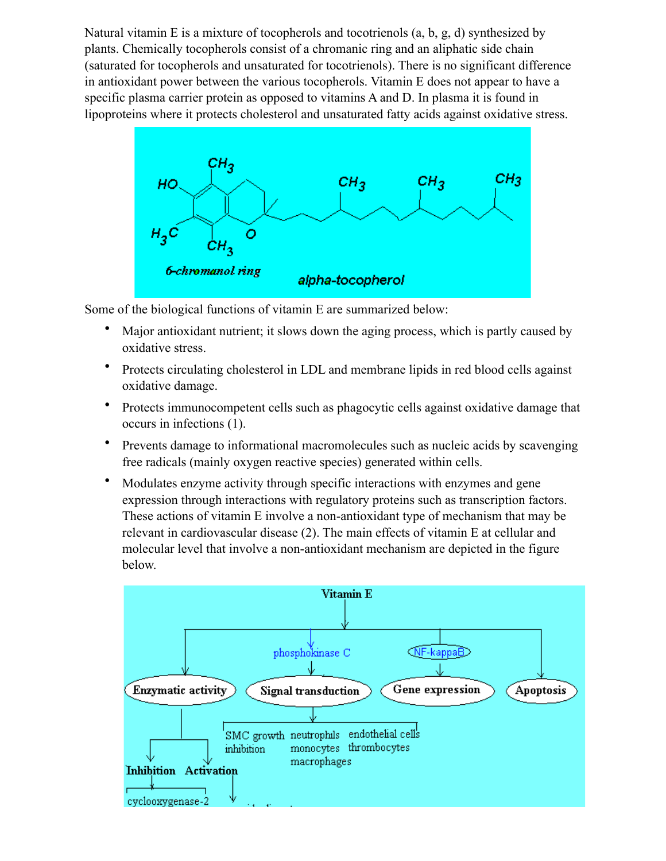Natural vitamin E is a mixture of tocopherols and tocotrienols  $(a, b, g, d)$  synthesized by plants. Chemically tocopherols consist of a chromanic ring and an aliphatic side chain (saturated for tocopherols and unsaturated for tocotrienols). There is no significant difference in antioxidant power between the various tocopherols. Vitamin E does not appear to have a specific plasma carrier protein as opposed to vitamins A and D. In plasma it is found in lipoproteins where it protects cholesterol and unsaturated fatty acids against oxidative stress.



Some of the biological functions of vitamin E are summarized below:

- Major antioxidant nutrient; it slows down the aging process, which is partly caused by oxidative stress.
- Protects circulating cholesterol in LDL and membrane lipids in red blood cells against oxidative damage.
- Protects immunocompetent cells such as phagocytic cells against oxidative damage that occurs in infections (1).
- Prevents damage to informational macromolecules such as nucleic acids by scavenging free radicals (mainly oxygen reactive species) generated within cells.
- Modulates enzyme activity through specific interactions with enzymes and gene expression through interactions with regulatory proteins such as transcription factors. These actions of vitamin E involve a non-antioxidant type of mechanism that may be relevant in cardiovascular disease (2). The main effects of vitamin E at cellular and molecular level that involve a non-antioxidant mechanism are depicted in the figure below.

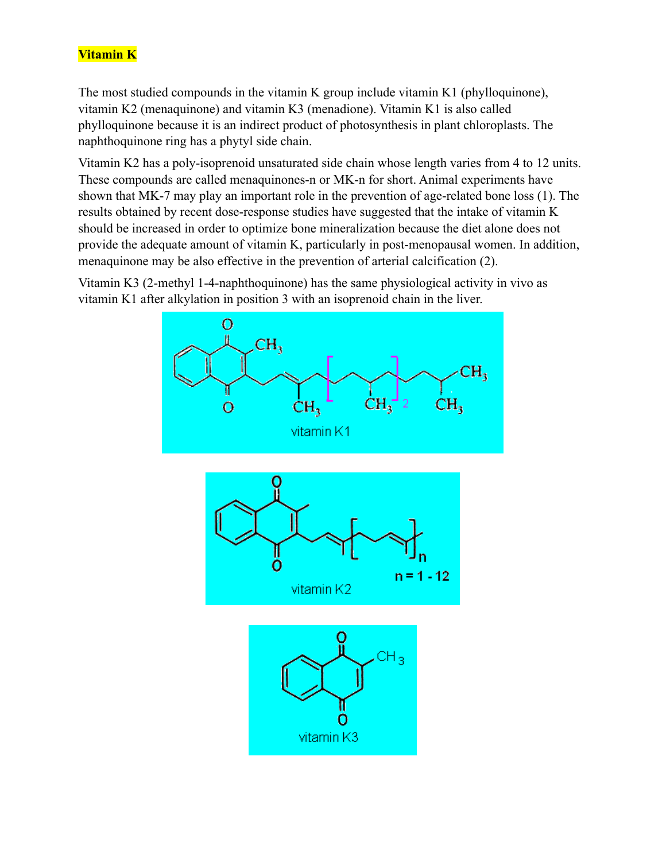# **Vitamin K**

The most studied compounds in the vitamin K group include vitamin K1 (phylloquinone), vitamin K2 (menaquinone) and vitamin K3 (menadione). Vitamin K1 is also called phylloquinone because it is an indirect product of photosynthesis in plant chloroplasts. The naphthoquinone ring has a phytyl side chain.

Vitamin K2 has a poly-isoprenoid unsaturated side chain whose length varies from 4 to 12 units. These compounds are called menaquinones-n or MK-n for short. Animal experiments have shown that MK-7 may play an important role in the prevention of age-related bone loss (1). The results obtained by recent dose-response studies have suggested that the intake of vitamin K should be increased in order to optimize bone mineralization because the diet alone does not provide the adequate amount of vitamin K, particularly in post-menopausal women. In addition, menaquinone may be also effective in the prevention of arterial calcification (2).

Vitamin K3 (2-methyl 1-4-naphthoquinone) has the same physiological activity in vivo as vitamin K1 after alkylation in position 3 with an isoprenoid chain in the liver.

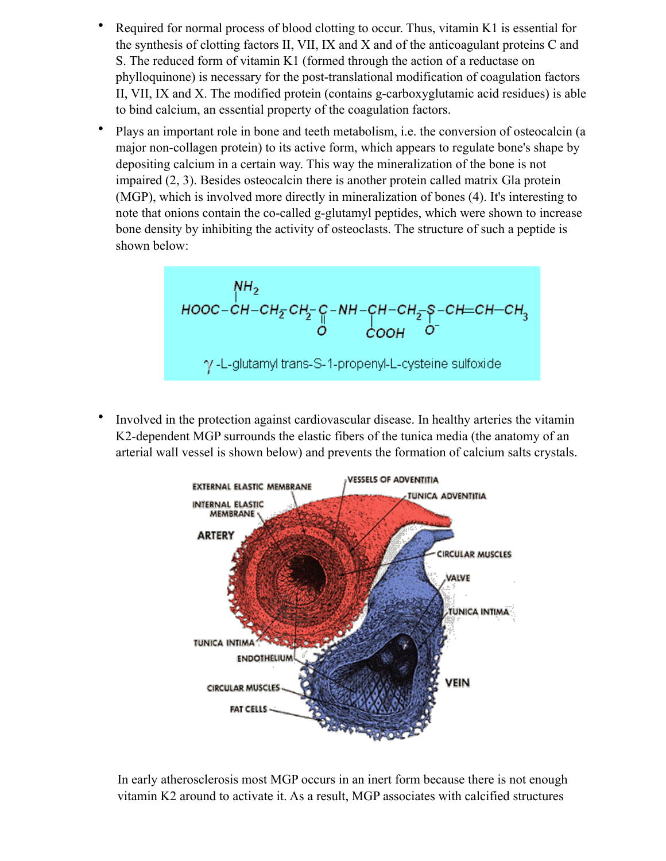- Required for normal process of blood clotting to occur. Thus, vitamin K1 is essential for the synthesis of clotting factors II, VII, IX and X and of the anticoagulant proteins C and S. The reduced form of vitamin K1 (formed through the action of a reductase on phylloquinone) is necessary for the post-translational modification of coagulation factors II, VII, IX and X. The modified protein (contains g-carboxyglutamic acid residues) is able to bind calcium, an essential property of the coagulation factors.
- Plays an important role in bone and teeth metabolism, i.e. the conversion of osteocalcin (a major non-collagen protein) to its active form, which appears to regulate bone's shape by depositing calcium in a certain way. This way the mineralization of the bone is not impaired (2, 3). Besides osteocalcin there is another protein called matrix Gla protein (MGP), which is involved more directly in mineralization of bones (4). It's interesting to note that onions contain the co-called g-glutamyl peptides, which were shown to increase bone density by inhibiting the activity of osteoclasts. The structure of such a peptide is shown below:

$$
\begin{array}{c}\nN_{1}H_{2} \\
100C-CH-CH_{2}CH_{2}C-H-H-CH-CH_{2}-8-CH=CH-CH_{3} \\
0&COOH\end{array}
$$
\n
$$
\gamma
$$
-L-glutamyt trans-S-1-propenyl-L-cysteine sulfoxide

• Involved in the protection against cardiovascular disease. In healthy arteries the vitamin K2-dependent MGP surrounds the elastic fibers of the tunica media (the anatomy of an arterial wall vessel is shown below) and prevents the formation of calcium salts crystals.



In early atherosclerosis most MGP occurs in an inert form because there is not enough vitamin K2 around to activate it. As a result, MGP associates with calcified structures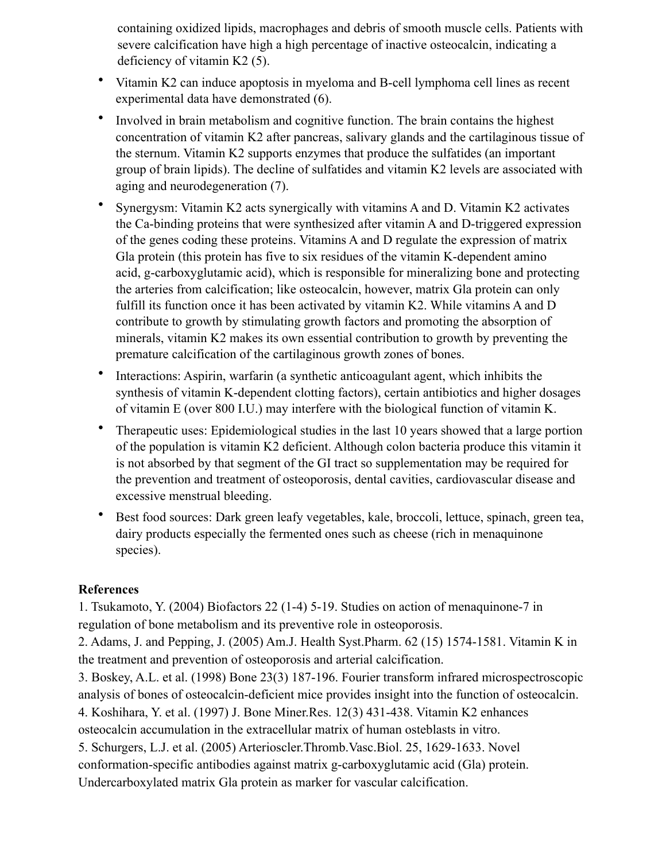containing oxidized lipids, macrophages and debris of smooth muscle cells. Patients with severe calcification have high a high percentage of inactive osteocalcin, indicating a deficiency of vitamin K2 (5).

- Vitamin K2 can induce apoptosis in myeloma and B-cell lymphoma cell lines as recent experimental data have demonstrated (6).
- Involved in brain metabolism and cognitive function. The brain contains the highest concentration of vitamin K2 after pancreas, salivary glands and the cartilaginous tissue of the sternum. Vitamin K2 supports enzymes that produce the sulfatides (an important group of brain lipids). The decline of sulfatides and vitamin K2 levels are associated with aging and neurodegeneration (7).
- Synergysm: Vitamin K2 acts synergically with vitamins A and D. Vitamin K2 activates the Ca-binding proteins that were synthesized after vitamin A and D-triggered expression of the genes coding these proteins. Vitamins A and D regulate the expression of matrix Gla protein (this protein has five to six residues of the vitamin K-dependent amino acid, g-carboxyglutamic acid), which is responsible for mineralizing bone and protecting the arteries from calcification; like osteocalcin, however, matrix Gla protein can only fulfill its function once it has been activated by vitamin K2. While vitamins A and D contribute to growth by stimulating growth factors and promoting the absorption of minerals, vitamin K2 makes its own essential contribution to growth by preventing the premature calcification of the cartilaginous growth zones of bones.
- Interactions: Aspirin, warfarin (a synthetic anticoagulant agent, which inhibits the synthesis of vitamin K-dependent clotting factors), certain antibiotics and higher dosages of vitamin E (over 800 I.U.) may interfere with the biological function of vitamin K.
- Therapeutic uses: Epidemiological studies in the last 10 years showed that a large portion of the population is vitamin K2 deficient. Although colon bacteria produce this vitamin it is not absorbed by that segment of the GI tract so supplementation may be required for the prevention and treatment of osteoporosis, dental cavities, cardiovascular disease and excessive menstrual bleeding.
- Best food sources: Dark green leafy vegetables, kale, broccoli, lettuce, spinach, green tea, dairy products especially the fermented ones such as cheese (rich in menaquinone species).

## **References**

1. Tsukamoto, Y. (2004) Biofactors 22 (1-4) 5-19. Studies on action of menaquinone-7 in regulation of bone metabolism and its preventive role in osteoporosis.

2. Adams, J. and Pepping, J. (2005) Am.J. Health Syst.Pharm. 62 (15) 1574-1581. Vitamin K in the treatment and prevention of osteoporosis and arterial calcification.

3. Boskey, A.L. et al. (1998) Bone 23(3) 187-196. Fourier transform infrared microspectroscopic analysis of bones of osteocalcin-deficient mice provides insight into the function of osteocalcin.

4. Koshihara, Y. et al. (1997) J. Bone Miner.Res. 12(3) 431-438. Vitamin K2 enhances osteocalcin accumulation in the extracellular matrix of human osteblasts in vitro.

5. Schurgers, L.J. et al. (2005) Arterioscler.Thromb.Vasc.Biol. 25, 1629-1633. Novel

conformation-specific antibodies against matrix g-carboxyglutamic acid (Gla) protein.

Undercarboxylated matrix Gla protein as marker for vascular calcification.